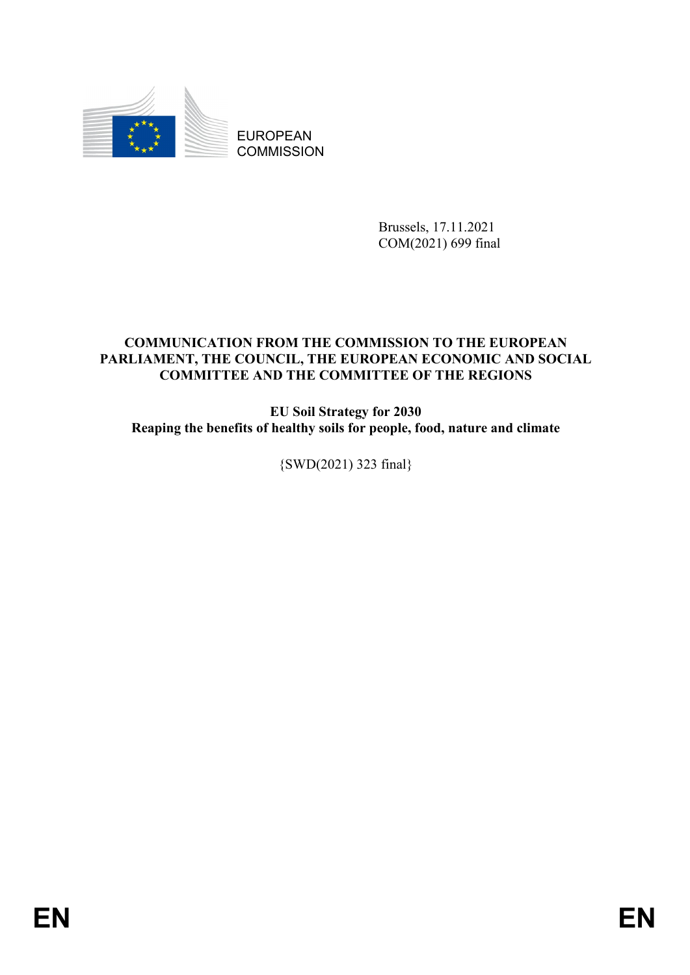

EUROPEAN **COMMISSION** 

> Brussels, 17.11.2021 COM(2021) 699 final

# **COMMUNICATION FROM THE COMMISSION TO THE EUROPEAN PARLIAMENT, THE COUNCIL, THE EUROPEAN ECONOMIC AND SOCIAL COMMITTEE AND THE COMMITTEE OF THE REGIONS**

**EU Soil Strategy for 2030 Reaping the benefits of healthy soils for people, food, nature and climate**

{SWD(2021) 323 final}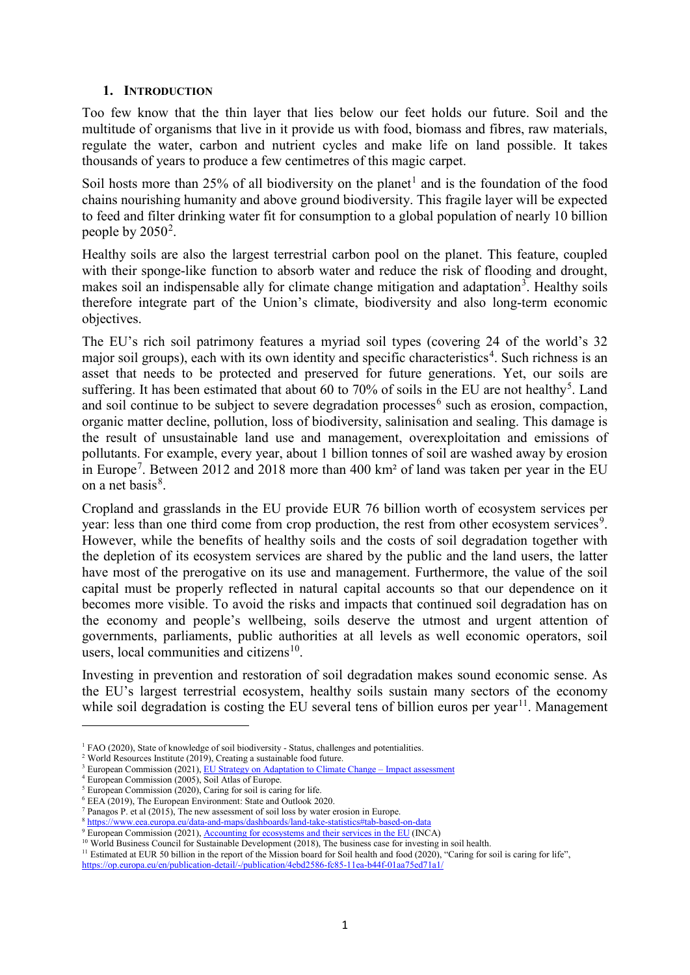### **1. INTRODUCTION**

Too few know that the thin layer that lies below our feet holds our future. Soil and the multitude of organisms that live in it provide us with food, biomass and fibres, raw materials, regulate the water, carbon and nutrient cycles and make life on land possible. It takes thousands of years to produce a few centimetres of this magic carpet.

Soil hosts more than 25% of all biodiversity on the planet<sup>[1](#page-1-0)</sup> and is the foundation of the food chains nourishing humanity and above ground biodiversity. This fragile layer will be expected to feed and filter drinking water fit for consumption to a global population of nearly 10 billion people by  $2050^2$  $2050^2$ .

Healthy soils are also the largest terrestrial carbon pool on the planet. This feature, coupled with their sponge-like function to absorb water and reduce the risk of flooding and drought, makes soil an indispensable ally for climate change mitigation and adaptation<sup>[3](#page-1-2)</sup>. Healthy soils therefore integrate part of the Union's climate, biodiversity and also long-term economic objectives.

The EU's rich soil patrimony features a myriad soil types (covering 24 of the world's 32 major soil groups), each with its own identity and specific characteristics<sup>[4](#page-1-3)</sup>. Such richness is an asset that needs to be protected and preserved for future generations. Yet, our soils are suffering. It has been estimated that about 60 to 70% of soils in the EU are not healthy<sup>[5](#page-1-4)</sup>. Land and soil continue to be subject to severe degradation processes<sup>[6](#page-1-5)</sup> such as erosion, compaction, organic matter decline, pollution, loss of biodiversity, salinisation and sealing. This damage is the result of unsustainable land use and management, overexploitation and emissions of pollutants. For example, every year, about 1 billion tonnes of soil are washed away by erosion in Europe<sup>[7](#page-1-6)</sup>. Between 2012 and 2018 more than 400 km<sup>2</sup> of land was taken per year in the EU on a net basis<sup>[8](#page-1-7)</sup>.

Cropland and grasslands in the EU provide EUR 76 billion worth of ecosystem services per year: less than one third come from crop production, the rest from other ecosystem services<sup>[9](#page-1-8)</sup>. However, while the benefits of healthy soils and the costs of soil degradation together with the depletion of its ecosystem services are shared by the public and the land users, the latter have most of the prerogative on its use and management. Furthermore, the value of the soil capital must be properly reflected in natural capital accounts so that our dependence on it becomes more visible. To avoid the risks and impacts that continued soil degradation has on the economy and people's wellbeing, soils deserve the utmost and urgent attention of governments, parliaments, public authorities at all levels as well economic operators, soil users, local communities and citizens<sup>[10](#page-1-9)</sup>.

Investing in prevention and restoration of soil degradation makes sound economic sense. As the EU's largest terrestrial ecosystem, healthy soils sustain many sectors of the economy while soil degradation is costing the EU several tens of billion euros per year<sup>11</sup>. Management

 $<sup>1</sup>$  FAO (2020), State of knowledge of soil biodiversity - Status, challenges and potentialities.</sup>

<span id="page-1-1"></span><span id="page-1-0"></span><sup>&</sup>lt;sup>2</sup> World Resources Institute (2019), Creating a sustainable food future.

<span id="page-1-2"></span><sup>&</sup>lt;sup>3</sup> European Commission (2021),  $\underline{FU}$  Strategy on Adaptation to Climate Change – Impact assessment

<span id="page-1-3"></span><sup>4</sup> European Commission (2005), Soil Atlas of Europe.

<span id="page-1-4"></span> $5$  European Commission (2020), Caring for soil is caring for life.

<span id="page-1-5"></span><sup>6</sup> EEA (2019), The European Environment: State and Outlook 2020.

<sup>7</sup> Panagos P. et al (2015), The new assessment of soil loss by water erosion in Europe.

<span id="page-1-6"></span><sup>8</sup> https://www.eea.europa.eu/data-and-maps/dashboards/land-take-statistics#tab-based-on-data

<span id="page-1-9"></span><span id="page-1-8"></span><span id="page-1-7"></span><sup>&</sup>lt;sup>9</sup> European Commission (2021), [Accounting for ecosystems and their services in the EU](https://ec.europa.eu/eurostat/documents/7870049/12943935/KS-FT-20-002-EN-N.pdf/de44610d-79e5-010a-5675-14fc4d8527d9?t=1624528835061) (INCA) <sup>10</sup> World Business Council for Sustainable Development (2018), The business case for investing in soil health.

<sup>&</sup>lt;sup>11</sup> Estimated at EUR 50 billion in the report of the Mission board for Soil health and food (2020), "Caring for soil is caring for life",

<span id="page-1-10"></span><https://op.europa.eu/en/publication-detail/-/publication/4ebd2586-fc85-11ea-b44f-01aa75ed71a1/>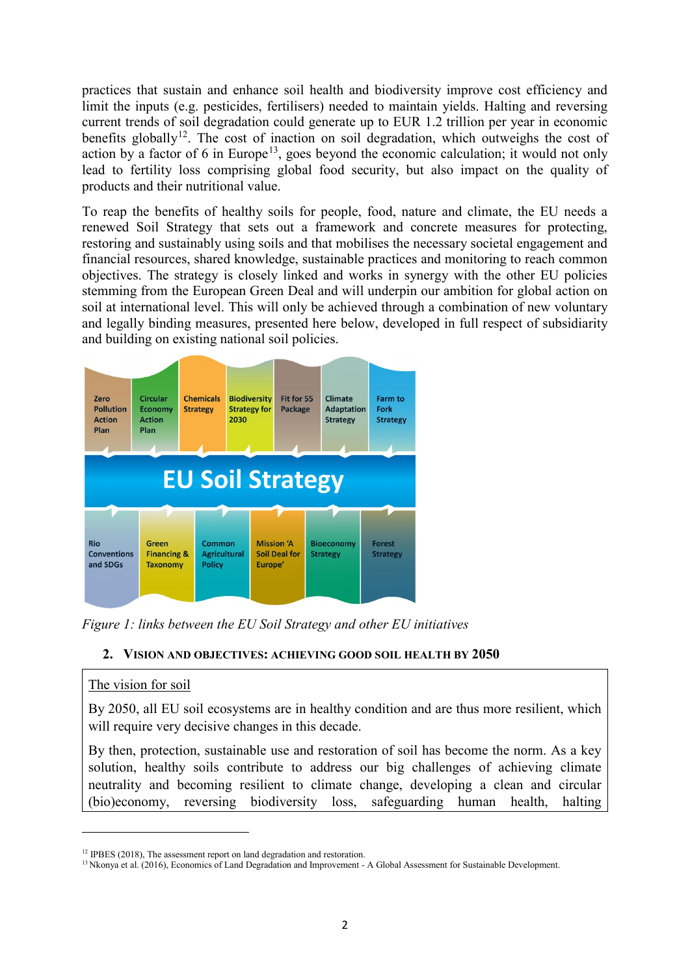practices that sustain and enhance soil health and biodiversity improve cost efficiency and limit the inputs (e.g. pesticides, fertilisers) needed to maintain yields. Halting and reversing current trends of soil degradation could generate up to EUR 1.2 trillion per year in economic benefits globally<sup>12</sup>. The cost of inaction on soil degradation, which outweighs the cost of action by a factor of 6 in Europe<sup>[13](#page-2-1)</sup>, goes beyond the economic calculation; it would not only lead to fertility loss comprising global food security, but also impact on the quality of products and their nutritional value.

To reap the benefits of healthy soils for people, food, nature and climate, the EU needs a renewed Soil Strategy that sets out a framework and concrete measures for protecting, restoring and sustainably using soils and that mobilises the necessary societal engagement and financial resources, shared knowledge, sustainable practices and monitoring to reach common objectives. The strategy is closely linked and works in synergy with the other EU policies stemming from the European Green Deal and will underpin our ambition for global action on soil at international level. This will only be achieved through a combination of new voluntary and legally binding measures, presented here below, developed in full respect of subsidiarity and building on existing national soil policies.



*Figure 1: links between the EU Soil Strategy and other EU initiatives*

# **2. VISION AND OBJECTIVES: ACHIEVING GOOD SOIL HEALTH BY 2050**

# The vision for soil

 $\overline{a}$ 

By 2050, all EU soil ecosystems are in healthy condition and are thus more resilient, which will require very decisive changes in this decade.

By then, protection, sustainable use and restoration of soil has become the norm. As a key solution, healthy soils contribute to address our big challenges of achieving climate neutrality and becoming resilient to climate change, developing a clean and circular (bio)economy, reversing biodiversity loss, safeguarding human health, halting

<span id="page-2-0"></span><sup>&</sup>lt;sup>12</sup> IPBES (2018), The assessment report on land degradation and restoration.

<span id="page-2-1"></span><sup>&</sup>lt;sup>13</sup> Nkonya et al. (2016), Economics of Land Degradation and Improvement - A Global Assessment for Sustainable Development.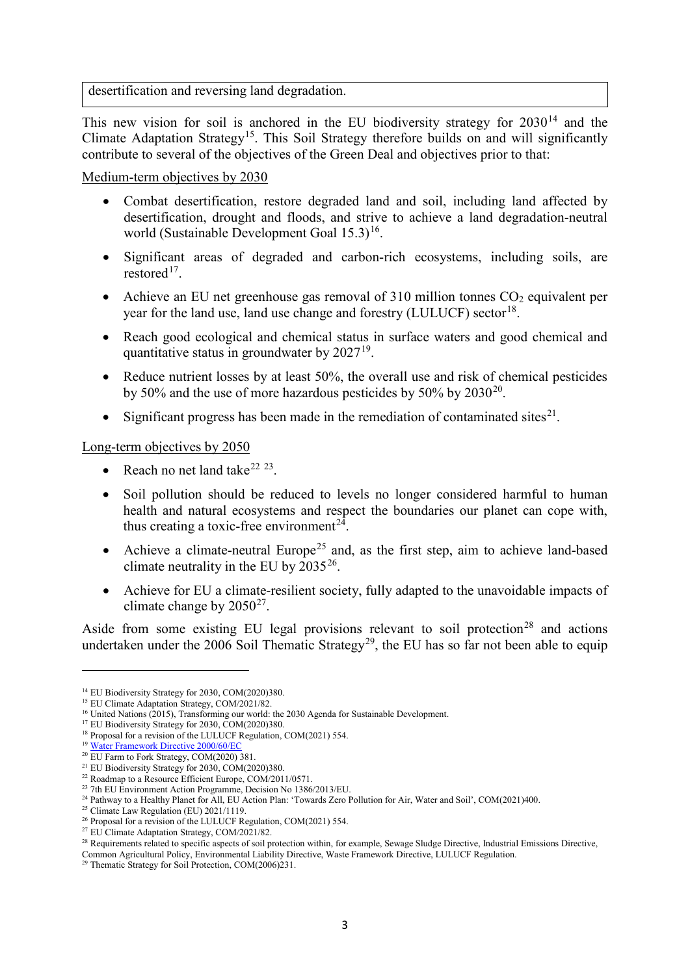desertification and reversing land degradation.

This new vision for soil is anchored in the EU biodiversity strategy for  $2030^{14}$  $2030^{14}$  $2030^{14}$  and the Climate Adaptation Strategy<sup>15</sup>. This Soil Strategy therefore builds on and will significantly contribute to several of the objectives of the Green Deal and objectives prior to that:

Medium-term objectives by 2030

- Combat desertification, restore degraded land and soil, including land affected by desertification, drought and floods, and strive to achieve a land degradation-neutral world (Sustainable Development Goal  $15.3$ )<sup>16</sup>.
- Significant areas of degraded and carbon-rich ecosystems, including soils, are restored<sup>[17](#page-3-3)</sup>.
- Achieve an EU net greenhouse gas removal of 310 million tonnes  $CO<sub>2</sub>$  equivalent per year for the land use, land use change and forestry (LULUCF) sector<sup>18</sup>.
- Reach good ecological and chemical status in surface waters and good chemical and quantitative status in groundwater by  $2027^{19}$  $2027^{19}$  $2027^{19}$ .
- Reduce nutrient losses by at least 50%, the overall use and risk of chemical pesticides by 50% and the use of more hazardous pesticides by 50% by  $2030^{20}$ .
- Significant progress has been made in the remediation of contaminated sites<sup>[21](#page-3-7)</sup>.

Long-term objectives by 2050

- Reach no net land take $^{22}$  $^{22}$  $^{22}$   $^{23}$  $^{23}$  $^{23}$ .
- Soil pollution should be reduced to levels no longer considered harmful to human health and natural ecosystems and respect the boundaries our planet can cope with, thus creating a toxic-free environment<sup>[24](#page-3-10)</sup>.
- Achieve a climate-neutral Europe<sup>[25](#page-3-11)</sup> and, as the first step, aim to achieve land-based climate neutrality in the EU by  $2035^{26}$ .
- Achieve for EU a climate-resilient society, fully adapted to the unavoidable impacts of climate change by  $2050^{27}$ .

Aside from some existing EU legal provisions relevant to soil protection<sup>[28](#page-3-14)</sup> and actions undertaken under the  $2006$  Soil Thematic Strategy<sup>29</sup>, the EU has so far not been able to equip

<span id="page-3-0"></span><sup>&</sup>lt;sup>14</sup> EU Biodiversity Strategy for 2030, COM(2020)380.

<span id="page-3-1"></span><sup>&</sup>lt;sup>15</sup> EU Climate Adaptation Strategy, COM/2021/82.

<sup>&</sup>lt;sup>16</sup> United Nations (2015), Transforming our world: the 2030 Agenda for Sustainable Development.

<span id="page-3-3"></span><span id="page-3-2"></span><sup>&</sup>lt;sup>17</sup> EU Biodiversity Strategy for 2030, COM(2020)380.

<span id="page-3-4"></span><sup>&</sup>lt;sup>18</sup> Proposal for a revision of the LULUCF Regulation, COM(2021) 554.

<sup>19</sup> [Water Framework Directive 2000/60/EC](https://eur-lex.europa.eu/legal-content/EN/TXT/?uri=CELEX:32000L0060)

<span id="page-3-6"></span><span id="page-3-5"></span><sup>&</sup>lt;sup>20</sup> EU Farm to Fork Strategy, COM(2020) 381.

<span id="page-3-7"></span><sup>&</sup>lt;sup>21</sup> EU Biodiversity Strategy for 2030, COM(2020)380.<br><sup>22</sup> Roadmap to a Resource Efficient Europe, COM/2011/0571.

<span id="page-3-9"></span><span id="page-3-8"></span> $23$  7th EU Environment Action Programme, Decision No 1386/2013/EU.

<span id="page-3-10"></span><sup>&</sup>lt;sup>24</sup> Pathway to a Healthy Planet for All, EU Action Plan: 'Towards Zero Pollution for Air, Water and Soil', COM(2021)400.

<span id="page-3-11"></span> $25$  Climate Law Regulation (EU)  $2021/1119$ .

<span id="page-3-12"></span><sup>&</sup>lt;sup>26</sup> Proposal for a revision of the LULUCF Regulation, COM(2021) 554.

<span id="page-3-13"></span><sup>&</sup>lt;sup>27</sup> EU Climate Adaptation Strategy,  $COM/2021/82$ .

<span id="page-3-14"></span><sup>&</sup>lt;sup>28</sup> Requirements related to specific aspects of soil protection within, for example, Sewage Sludge Directive, Industrial Emissions Directive,

Common Agricultural Policy, Environmental Liability Directive, Waste Framework Directive, LULUCF Regulation.

<span id="page-3-15"></span><sup>29</sup> Thematic Strategy for Soil Protection, COM(2006)231.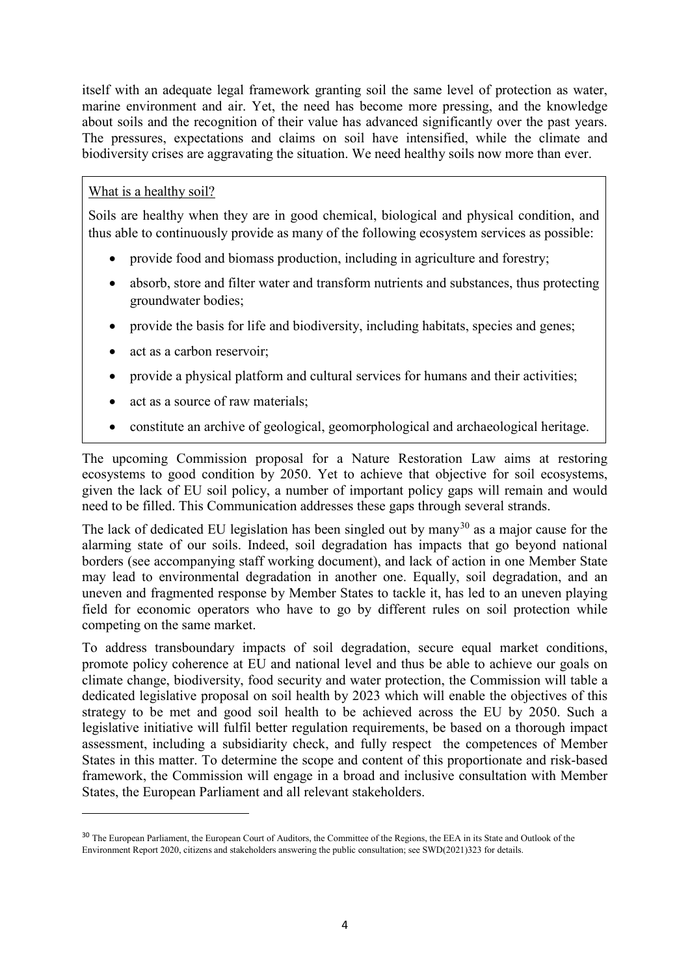itself with an adequate legal framework granting soil the same level of protection as water, marine environment and air. Yet, the need has become more pressing, and the knowledge about soils and the recognition of their value has advanced significantly over the past years. The pressures, expectations and claims on soil have intensified, while the climate and biodiversity crises are aggravating the situation. We need healthy soils now more than ever.

# What is a healthy soil?

l

Soils are healthy when they are in good chemical, biological and physical condition, and thus able to continuously provide as many of the following ecosystem services as possible:

- provide food and biomass production, including in agriculture and forestry;
- absorb, store and filter water and transform nutrients and substances, thus protecting groundwater bodies;
- provide the basis for life and biodiversity, including habitats, species and genes;
- act as a carbon reservoir;
- provide a physical platform and cultural services for humans and their activities;
- act as a source of raw materials;
- constitute an archive of geological, geomorphological and archaeological heritage.

The upcoming Commission proposal for a Nature Restoration Law aims at restoring ecosystems to good condition by 2050. Yet to achieve that objective for soil ecosystems, given the lack of EU soil policy, a number of important policy gaps will remain and would need to be filled. This Communication addresses these gaps through several strands.

The lack of dedicated EU legislation has been singled out by many<sup>[30](#page-4-0)</sup> as a major cause for the alarming state of our soils. Indeed, soil degradation has impacts that go beyond national borders (see accompanying staff working document), and lack of action in one Member State may lead to environmental degradation in another one. Equally, soil degradation, and an uneven and fragmented response by Member States to tackle it, has led to an uneven playing field for economic operators who have to go by different rules on soil protection while competing on the same market.

To address transboundary impacts of soil degradation, secure equal market conditions, promote policy coherence at EU and national level and thus be able to achieve our goals on climate change, biodiversity, food security and water protection, the Commission will table a dedicated legislative proposal on soil health by 2023 which will enable the objectives of this strategy to be met and good soil health to be achieved across the EU by 2050. Such a legislative initiative will fulfil better regulation requirements, be based on a thorough impact assessment, including a subsidiarity check, and fully respect the competences of Member States in this matter. To determine the scope and content of this proportionate and risk-based framework, the Commission will engage in a broad and inclusive consultation with Member States, the European Parliament and all relevant stakeholders.

<span id="page-4-0"></span><sup>&</sup>lt;sup>30</sup> The European Parliament, the European Court of Auditors, the Committee of the Regions, the EEA in its State and Outlook of the Environment Report 2020, citizens and stakeholders answering the public consultation; see SWD(2021)323 for details.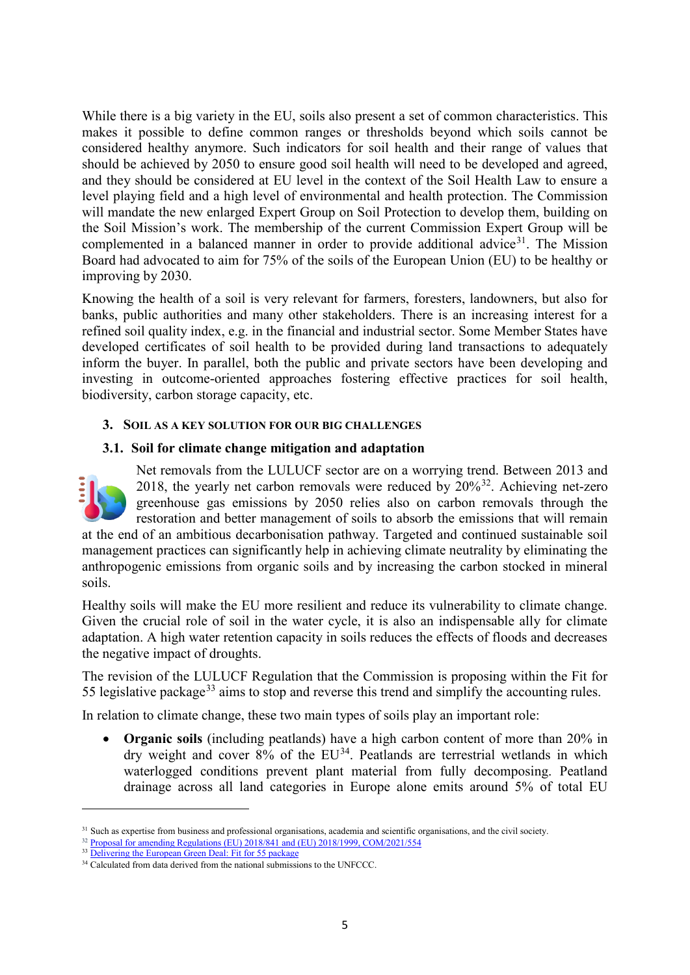While there is a big variety in the EU, soils also present a set of common characteristics. This makes it possible to define common ranges or thresholds beyond which soils cannot be considered healthy anymore. Such indicators for soil health and their range of values that should be achieved by 2050 to ensure good soil health will need to be developed and agreed, and they should be considered at EU level in the context of the Soil Health Law to ensure a level playing field and a high level of environmental and health protection. The Commission will mandate the new enlarged Expert Group on Soil Protection to develop them, building on the Soil Mission's work. The membership of the current Commission Expert Group will be complemented in a balanced manner in order to provide additional advice<sup>[31](#page-5-0)</sup>. The Mission Board had advocated to aim for 75% of the soils of the European Union (EU) to be healthy or improving by 2030.

Knowing the health of a soil is very relevant for farmers, foresters, landowners, but also for banks, public authorities and many other stakeholders. There is an increasing interest for a refined soil quality index, e.g. in the financial and industrial sector. Some Member States have developed certificates of soil health to be provided during land transactions to adequately inform the buyer. In parallel, both the public and private sectors have been developing and investing in outcome-oriented approaches fostering effective practices for soil health, biodiversity, carbon storage capacity, etc.

## **3. SOIL AS A KEY SOLUTION FOR OUR BIG CHALLENGES**

## **3.1. Soil for climate change mitigation and adaptation**



 $\overline{a}$ 

Net removals from the LULUCF sector are on a worrying trend. Between 2013 and 2018, the yearly net carbon removals were reduced by  $20\frac{32}{3}$ . Achieving net-zero greenhouse gas emissions by 2050 relies also on carbon removals through the restoration and better management of soils to absorb the emissions that will remain

at the end of an ambitious decarbonisation pathway. Targeted and continued sustainable soil management practices can significantly help in achieving climate neutrality by eliminating the anthropogenic emissions from organic soils and by increasing the carbon stocked in mineral soils.

Healthy soils will make the EU more resilient and reduce its vulnerability to climate change. Given the crucial role of soil in the water cycle, it is also an indispensable ally for climate adaptation. A high water retention capacity in soils reduces the effects of floods and decreases the negative impact of droughts.

The revision of the LULUCF Regulation that the Commission is proposing within the Fit for 55 legislative package<sup>[33](#page-5-2)</sup> aims to stop and reverse this trend and simplify the accounting rules.

In relation to climate change, these two main types of soils play an important role:

**Organic soils** (including peatlands) have a high carbon content of more than 20% in dry weight and cover  $8\%$  of the  $EU^{34}$ . Peatlands are terrestrial wetlands in which waterlogged conditions prevent plant material from fully decomposing. Peatland drainage across all land categories in Europe alone emits around 5% of total EU

<span id="page-5-0"></span><sup>&</sup>lt;sup>31</sup> Such as expertise from business and professional organisations, academia and scientific organisations, and the civil society.

<sup>&</sup>lt;sup>32</sup> [Proposal for amending Regulations \(EU\) 2018/841 and \(EU\) 2018/1999, COM/2021/554](https://eur-lex.europa.eu/legal-content/EN/TXT/?uri=CELEX:52021PC0554)

<span id="page-5-2"></span><span id="page-5-1"></span><sup>&</sup>lt;sup>33</sup> [Delivering the European Green Deal: Fit for 55 package](https://ec.europa.eu/clima/eu-action/european-green-deal/delivering-european-green-deal_en)

<span id="page-5-3"></span><sup>&</sup>lt;sup>34</sup> Calculated from data derived from the national submissions to the UNFCCC.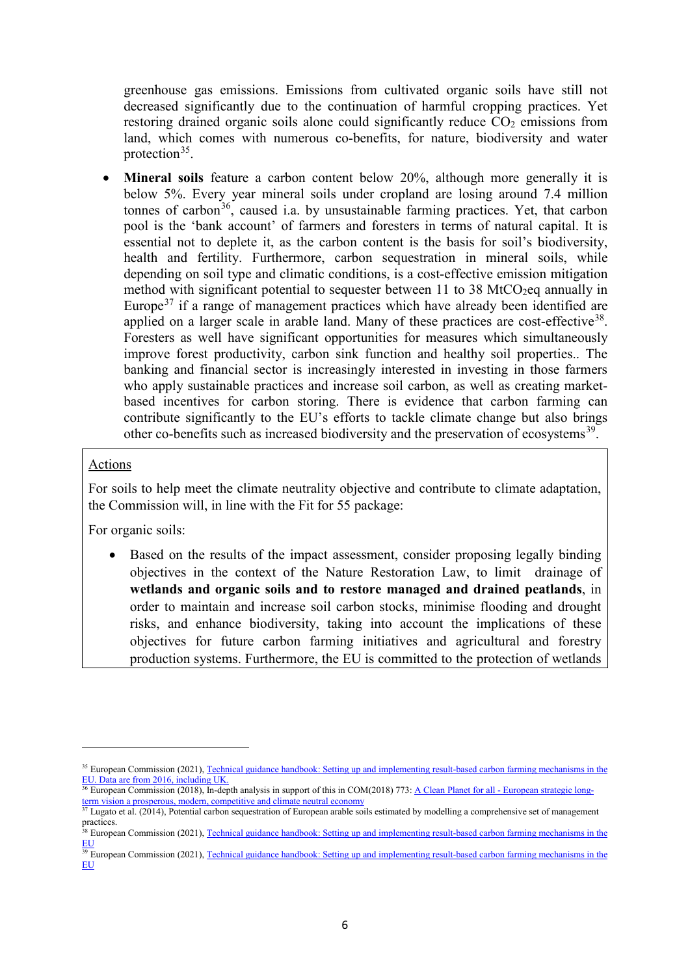greenhouse gas emissions. Emissions from cultivated organic soils have still not decreased significantly due to the continuation of harmful cropping practices. Yet restoring drained organic soils alone could significantly reduce  $CO<sub>2</sub>$  emissions from land, which comes with numerous co-benefits, for nature, biodiversity and water protection  $35$ .

• **Mineral soils** feature a carbon content below 20%, although more generally it is below 5%. Every year mineral soils under cropland are losing around 7.4 million tonnes of carbon<sup>[36](#page-6-1)</sup>, caused i.a. by unsustainable farming practices. Yet, that carbon pool is the 'bank account' of farmers and foresters in terms of natural capital. It is essential not to deplete it, as the carbon content is the basis for soil's biodiversity, health and fertility. Furthermore, carbon sequestration in mineral soils, while depending on soil type and climatic conditions, is a cost-effective emission mitigation method with significant potential to sequester between 11 to 38 MtCO<sub>2</sub>eq annually in Europe<sup>[37](#page-6-2)</sup> if a range of management practices which have already been identified are applied on a larger scale in arable land. Many of these practices are cost-effective<sup>38</sup>. Foresters as well have significant opportunities for measures which simultaneously improve forest productivity, carbon sink function and healthy soil properties.. The banking and financial sector is increasingly interested in investing in those farmers who apply sustainable practices and increase soil carbon, as well as creating marketbased incentives for carbon storing. There is evidence that carbon farming can contribute significantly to the EU's efforts to tackle climate change but also brings other co-benefits such as increased biodiversity and the preservation of ecosystems<sup>[39](#page-6-4)</sup>.

## Actions

l

For soils to help meet the climate neutrality objective and contribute to climate adaptation, the Commission will, in line with the Fit for 55 package:

For organic soils:

• Based on the results of the impact assessment, consider proposing legally binding objectives in the context of the Nature Restoration Law, to limit drainage of **wetlands and organic soils and to restore managed and drained peatlands**, in order to maintain and increase soil carbon stocks, minimise flooding and drought risks, and enhance biodiversity, taking into account the implications of these objectives for future carbon farming initiatives and agricultural and forestry production systems. Furthermore, the EU is committed to the protection of wetlands

<span id="page-6-0"></span><sup>&</sup>lt;sup>35</sup> European Commission (2021), Technical guidance handbook: Setting up and implementing result-based carbon farming mechanisms in the [EU.](https://op.europa.eu/en/publication-detail/-/publication/10acfd66-a740-11eb-9585-01aa75ed71a1/language-en) Data are from 2016, including UK.

<span id="page-6-1"></span><sup>&</sup>lt;sup>36</sup> European Commission (2018), In-depth analysis in support of this in COM(2018) 773: A Clean Planet for all - [European strategic long](https://eur-lex.europa.eu/legal-content/EN/ALL/?uri=COM%3A2018%3A773%3AFIN)[term vision a prosperous, modern, competitive and climate neutral economy](https://eur-lex.europa.eu/legal-content/EN/ALL/?uri=COM%3A2018%3A773%3AFIN)

<span id="page-6-2"></span> $37$  Lugato et al. (2014), Potential carbon sequestration of European arable soils estimated by modelling a comprehensive set of management practices.

<span id="page-6-3"></span><sup>&</sup>lt;sup>38</sup> European Commission (2021), Technical guidance handbook: Setting up and implementing result-based carbon farming mechanisms in the [EU](https://op.europa.eu/en/publication-detail/-/publication/10acfd66-a740-11eb-9585-01aa75ed71a1/language-en)

<span id="page-6-4"></span><sup>&</sup>lt;sup>39</sup> European Commission (2021), Technical guidance handbook: Setting up and implementing result-based carbon farming mechanisms in the [EU](https://op.europa.eu/en/publication-detail/-/publication/10acfd66-a740-11eb-9585-01aa75ed71a1/language-en)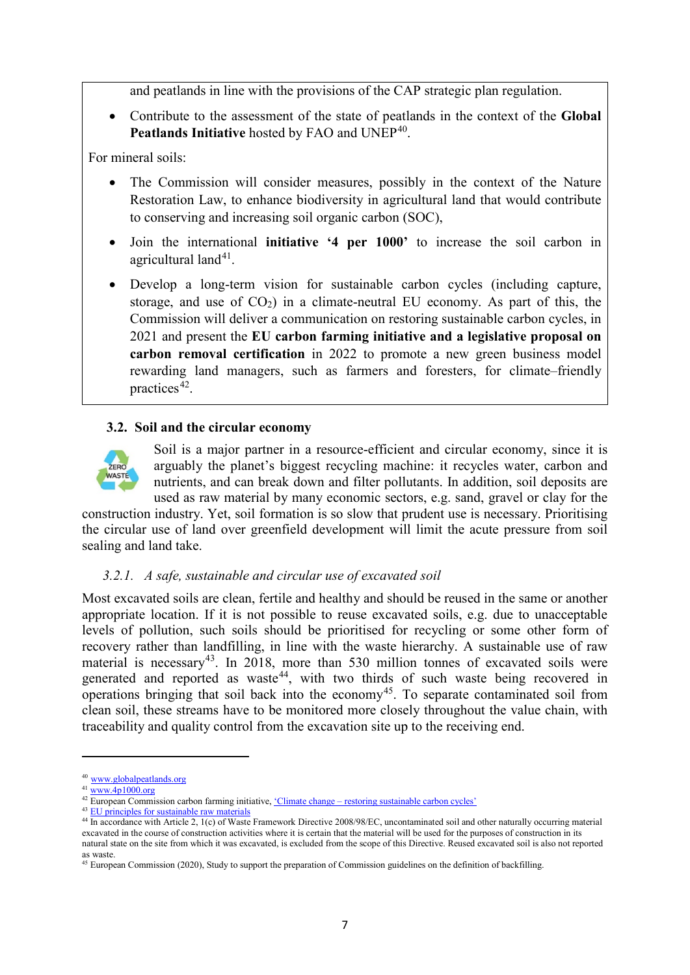and peatlands in line with the provisions of the CAP strategic plan regulation.

• Contribute to the assessment of the state of peatlands in the context of the **Global**  Peatlands Initiative hosted by FAO and UNEP<sup>[40](#page-7-0)</sup>.

For mineral soils:

- The Commission will consider measures, possibly in the context of the Nature Restoration Law, to enhance biodiversity in agricultural land that would contribute to conserving and increasing soil organic carbon (SOC),
- Join the international **initiative '4 per 1000'** to increase the soil carbon in agricultural land $41$ .
- Develop a long-term vision for sustainable carbon cycles (including capture, storage, and use of  $CO<sub>2</sub>$ ) in a climate-neutral EU economy. As part of this, the Commission will deliver a communication on restoring sustainable carbon cycles, in 2021 and present the **EU carbon farming initiative and a legislative proposal on carbon removal certification** in 2022 to promote a new green business model rewarding land managers, such as farmers and foresters, for climate–friendly practices<sup>42</sup>.

# **3.2. Soil and the circular economy**



Soil is a major partner in a resource-efficient and circular economy, since it is arguably the planet's biggest recycling machine: it recycles water, carbon and nutrients, and can break down and filter pollutants. In addition, soil deposits are used as raw material by many economic sectors, e.g. sand, gravel or clay for the

construction industry. Yet, soil formation is so slow that prudent use is necessary. Prioritising the circular use of land over greenfield development will limit the acute pressure from soil sealing and land take.

# *3.2.1. A safe, sustainable and circular use of excavated soil*

Most excavated soils are clean, fertile and healthy and should be reused in the same or another appropriate location. If it is not possible to reuse excavated soils, e.g. due to unacceptable levels of pollution, such soils should be prioritised for recycling or some other form of recovery rather than landfilling, in line with the waste hierarchy. A sustainable use of raw material is necessary<sup>43</sup>. In 2018, more than 530 million tonnes of excavated soils were generated and reported as waste<sup>[44](#page-7-4)</sup>, with two thirds of such waste being recovered in operations bringing that soil back into the economy<sup>[45](#page-7-5)</sup>. To separate contaminated soil from clean soil, these streams have to be monitored more closely throughout the value chain, with traceability and quality control from the excavation site up to the receiving end.

<sup>40</sup> [www.globalpeatlands.org](http://www.globalpeatlands.org/)

<span id="page-7-1"></span><span id="page-7-0"></span> $41$  www. $4p1000.org$ 

<span id="page-7-2"></span><sup>&</sup>lt;sup>42</sup> European Commission carbon farming initiative, <u>'Climate change – [restoring sustainable carbon cycles'](https://ec.europa.eu/info/law/better-regulation/have-your-say/initiatives/13066-Climate-change-restoring-sustainable-carbon-cycles_en)</u>

<sup>&</sup>lt;sup>43</sup> [EU principles for sustainable raw materials](https://op.europa.eu/en/publication-detail/-/publication/6d541f66-0f81-11ec-9151-01aa75ed71a1/language-en)

<span id="page-7-4"></span><span id="page-7-3"></span><sup>&</sup>lt;sup>44</sup> In accordance with Article 2, 1(c) of Waste Framework Directive 2008/98/EC, uncontaminated soil and other naturally occurring material excavated in the course of construction activities where it is certain that the material will be used for the purposes of construction in its natural state on the site from which it was excavated, is excluded from the scope of this Directive. Reused excavated soil is also not reported as waste.

<span id="page-7-5"></span><sup>&</sup>lt;sup>45</sup> European Commission (2020), Study to support the preparation of Commission guidelines on the definition of backfilling.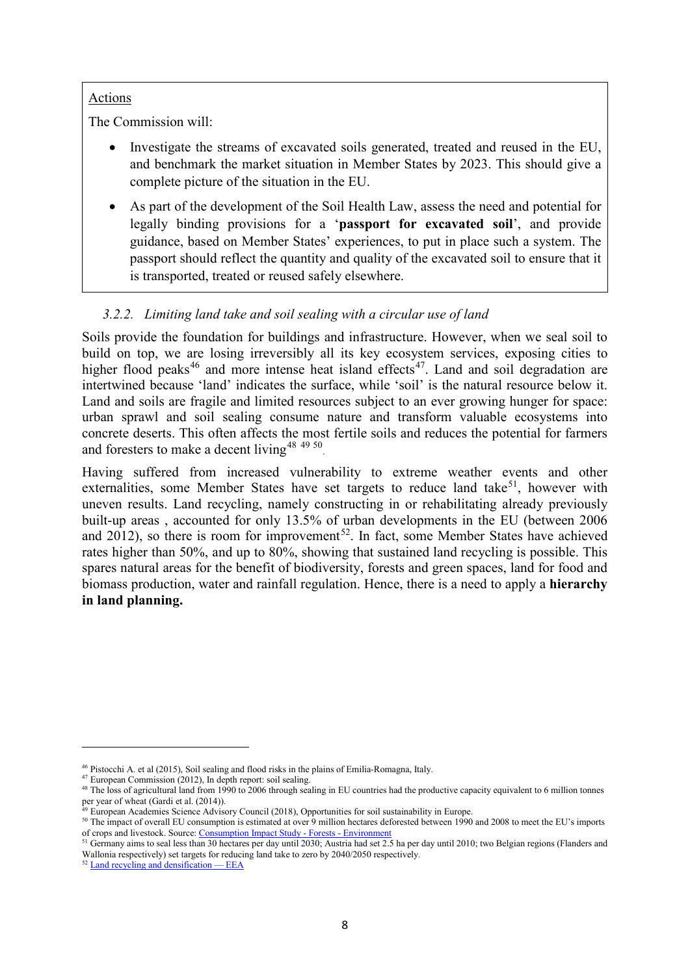# Actions

The Commission will:

- Investigate the streams of excavated soils generated, treated and reused in the EU, and benchmark the market situation in Member States by 2023. This should give a complete picture of the situation in the EU.
- As part of the development of the Soil Health Law, assess the need and potential for legally binding provisions for a '**passport for excavated soil**', and provide guidance, based on Member States' experiences, to put in place such a system. The passport should reflect the quantity and quality of the excavated soil to ensure that it is transported, treated or reused safely elsewhere.

# *3.2.2. Limiting land take and soil sealing with a circular use of land*

Soils provide the foundation for buildings and infrastructure. However, when we seal soil to build on top, we are losing irreversibly all its key ecosystem services, exposing cities to higher flood peaks<sup>[46](#page-8-0)</sup> and more intense heat island effects<sup>47</sup>. Land and soil degradation are intertwined because 'land' indicates the surface, while 'soil' is the natural resource below it. Land and soils are fragile and limited resources subject to an ever growing hunger for space: urban sprawl and soil sealing consume nature and transform valuable ecosystems into concrete deserts. This often affects the most fertile soils and reduces the potential for farmers and foresters to make a decent living<sup>[48](#page-8-2) [49](#page-8-3) [50](#page-8-4)</sup>.

Having suffered from increased vulnerability to extreme weather events and other externalities, some Member States have set targets to reduce land take<sup>51</sup>, however with uneven results. Land recycling, namely constructing in or rehabilitating already previously built-up areas , accounted for only 13.5% of urban developments in the EU (between 2006 and 2012), so there is room for improvement<sup>[52](#page-8-6)</sup>. In fact, some Member States have achieved rates higher than 50%, and up to 80%, showing that sustained land recycling is possible. This spares natural areas for the benefit of biodiversity, forests and green spaces, land for food and biomass production, water and rainfall regulation. Hence, there is a need to apply a **hierarchy in land planning.** 

<span id="page-8-0"></span><sup>46</sup> Pistocchi A. et al (2015), Soil sealing and flood risks in the plains of Emilia-Romagna, Italy.

<span id="page-8-1"></span><sup>47</sup> European Commission (2012), In depth report: soil sealing.

<span id="page-8-2"></span><sup>&</sup>lt;sup>48</sup> The loss of agricultural land from 1990 to 2006 through sealing in EU countries had the productive capacity equivalent to 6 million tonnes per year of wheat (Gardi et al. (2014)).

<sup>&</sup>lt;sup>49</sup> European Academies Science Advisory Council (2018), Opportunities for soil sustainability in Europe.

<span id="page-8-4"></span><span id="page-8-3"></span><sup>&</sup>lt;sup>50</sup> The impact of overall EU consumption is estimated at over 9 million hectares deforested between 1990 and 2008 to meet the EU's imports of crops and livestock. Source[: Consumption Impact Study -](https://ec.europa.eu/environment/forests/impact_deforestation.htm) Forests - Environment

<span id="page-8-5"></span><sup>&</sup>lt;sup>51</sup> Germany aims to seal less than 30 hectares per day until 2030; Austria had set 2.5 ha per day until 2010; two Belgian regions (Flanders and Wallonia respectively) set targets for reducing land take to zero by 2040/2050 respectively.<br><sup>52</sup> [Land recycling and densification —](https://www.eea.europa.eu/data-and-maps/indicators/land-recycling-and-densification/assessment-1) EEA

<span id="page-8-6"></span>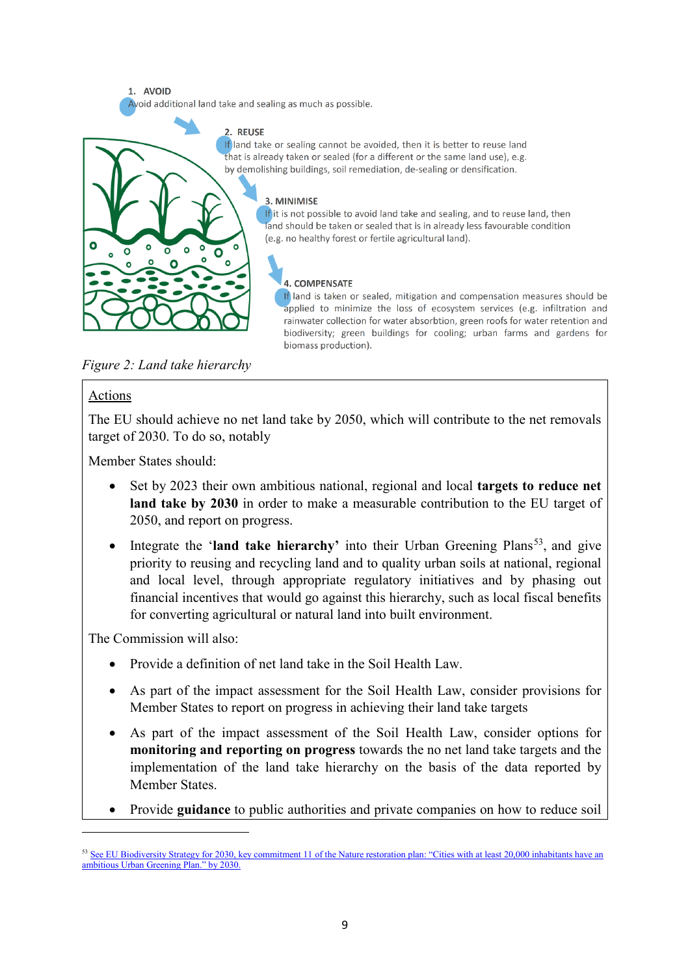1. AVOID Avoid additional land take and sealing as much as possible.

#### 2. REUSE

If land take or sealing cannot be avoided, then it is better to reuse land that is already taken or sealed (for a different or the same land use), e.g. by demolishing buildings, soil remediation, de-sealing or densification.

#### 3. MINIMISE

If it is not possible to avoid land take and sealing, and to reuse land, then land should be taken or sealed that is in already less favourable condition (e.g. no healthy forest or fertile agricultural land).

#### **4. COMPENSATE**

If land is taken or sealed, mitigation and compensation measures should be applied to minimize the loss of ecosystem services (e.g. infiltration and rainwater collection for water absorbtion, green roofs for water retention and biodiversity: green buildings for cooling: urban farms and gardens for biomass production).

*Figure 2: Land take hierarchy*

 $\circ$ 

ò

ក  $\Omega$ 

### Actions

 $\bullet$ 

 $\overline{O}$ 

 $\overline{a}$ 

The EU should achieve no net land take by 2050, which will contribute to the net removals target of 2030. To do so, notably

Member States should:

- Set by 2023 their own ambitious national, regional and local **targets to reduce net land take by 2030** in order to make a measurable contribution to the EU target of 2050, and report on progress.
- Integrate the '**land take hierarchy'** into their Urban Greening Plans<sup>53</sup>, and give priority to reusing and recycling land and to quality urban soils at national, regional and local level, through appropriate regulatory initiatives and by phasing out financial incentives that would go against this hierarchy, such as local fiscal benefits for converting agricultural or natural land into built environment.

The Commission will also:

- Provide a definition of net land take in the Soil Health Law.
- As part of the impact assessment for the Soil Health Law, consider provisions for Member States to report on progress in achieving their land take targets
- As part of the impact assessment of the Soil Health Law, consider options for **monitoring and reporting on progress** towards the no net land take targets and the implementation of the land take hierarchy on the basis of the data reported by Member States.
- Provide **guidance** to public authorities and private companies on how to reduce soil

<span id="page-9-0"></span><sup>&</sup>lt;sup>53</sup> See EU Biodiversity Strategy for 2030, key commitment 11 of the Nature restoration plan: "Cities with at least 20,000 inhabitants have an ambitious Urban Greening Plan." by 2030.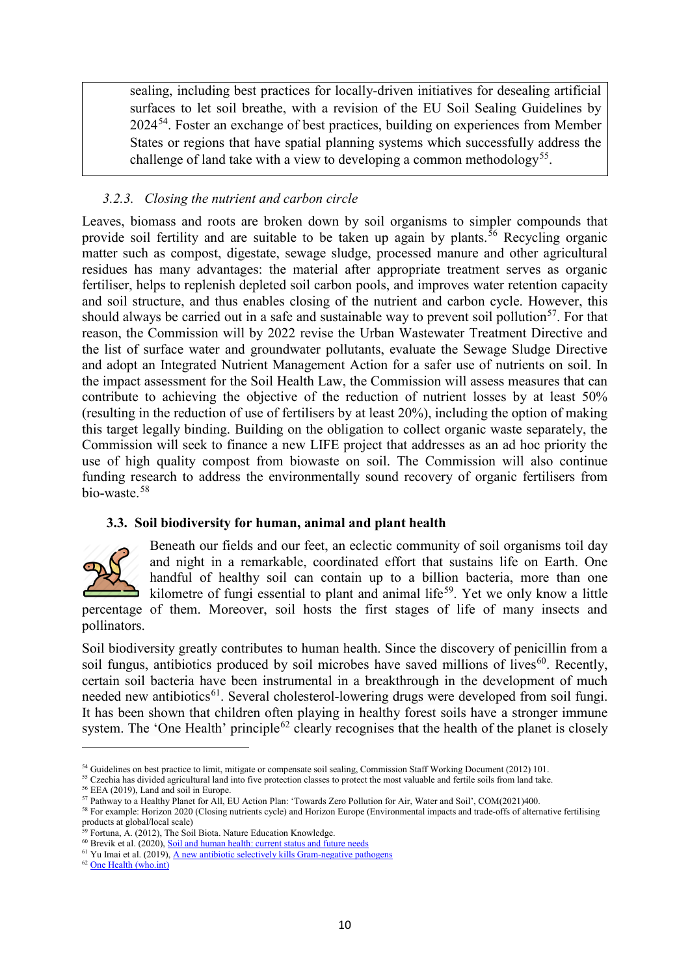sealing, including best practices for locally-driven initiatives for desealing artificial surfaces to let soil breathe, with a revision of the EU Soil Sealing Guidelines by 2024[54.](#page-10-0) Foster an exchange of best practices, building on experiences from Member States or regions that have spatial planning systems which successfully address the challenge of land take with a view to developing a common methodology<sup>55</sup>.

# *3.2.3. Closing the nutrient and carbon circle*

Leaves, biomass and roots are broken down by soil organisms to simpler compounds that provide soil fertility and are suitable to be taken up again by plants.<sup>[56](#page-10-2)</sup> Recycling organic matter such as compost, digestate, sewage sludge, processed manure and other agricultural residues has many advantages: the material after appropriate treatment serves as organic fertiliser, helps to replenish depleted soil carbon pools, and improves water retention capacity and soil structure, and thus enables closing of the nutrient and carbon cycle. However, this should always be carried out in a safe and sustainable way to prevent soil pollution<sup>[57](#page-10-3)</sup>. For that reason, the Commission will by 2022 revise the Urban Wastewater Treatment Directive and the list of surface water and groundwater pollutants, evaluate the Sewage Sludge Directive and adopt an Integrated Nutrient Management Action for a safer use of nutrients on soil. In the impact assessment for the Soil Health Law, the Commission will assess measures that can contribute to achieving the objective of the reduction of nutrient losses by at least 50% (resulting in the reduction of use of fertilisers by at least 20%), including the option of making this target legally binding. Building on the obligation to collect organic waste separately, the Commission will seek to finance a new LIFE project that addresses as an ad hoc priority the use of high quality compost from biowaste on soil. The Commission will also continue funding research to address the environmentally sound recovery of organic fertilisers from bio-waste.[58](#page-10-4)

# **3.3. Soil biodiversity for human, animal and plant health**



l

Beneath our fields and our feet, an eclectic community of soil organisms toil day and night in a remarkable, coordinated effort that sustains life on Earth. One handful of healthy soil can contain up to a billion bacteria, more than one kilometre of fungi essential to plant and animal life<sup>[59](#page-10-5)</sup>. Yet we only know a little percentage of them. Moreover, soil hosts the first stages of life of many insects and

pollinators.

Soil biodiversity greatly contributes to human health. Since the discovery of penicillin from a soil fungus, antibiotics produced by soil microbes have saved millions of lives<sup>[60](#page-10-6)</sup>. Recently, certain soil bacteria have been instrumental in a breakthrough in the development of much needed new antibiotics<sup>[61](#page-10-7)</sup>. Several cholesterol-lowering drugs were developed from soil fungi. It has been shown that children often playing in healthy forest soils have a stronger immune system. The 'One Health' principle<sup>[62](#page-10-8)</sup> clearly recognises that the health of the planet is closely

<span id="page-10-8"></span><sup>62</sup> [One Health \(who.int\)](https://www.who.int/news-room/q-a-detail/one-health)

<sup>54</sup> Guidelines on best practice to limit, mitigate or compensate soil sealing, Commission Staff Working Document (2012) 101.

<span id="page-10-2"></span><span id="page-10-1"></span><span id="page-10-0"></span> $55$  Czechia has divided agricultural land into five protection classes to protect the most valuable and fertile soils from land take.  $56$  EEA (2019), Land and soil in Europe.

<span id="page-10-3"></span><sup>57</sup> Pathway to a Healthy Planet for All, EU Action Plan: 'Towards Zero Pollution for Air, Water and Soil', COM(2021)400.

<span id="page-10-4"></span><sup>58</sup> For example: Horizon 2020 (Closing nutrients cycle) and Horizon Europe (Environmental impacts and trade-offs of alternative fertilising  $_{29}$  products at global/local scale)

Fortuna, A. (2012), The Soil Biota. Nature Education Knowledge.

<span id="page-10-5"></span><sup>&</sup>lt;sup>60</sup> Brevik et al. (2020), <u>Soil and human health: current status and future needs</u>

<span id="page-10-7"></span><span id="page-10-6"></span> $<sup>61</sup>$  Yu Imai et al. (2019)[, A new antibiotic selectively kills Gram-negative pathogens](https://www.nature.com/articles/s41586-019-1791-1)</sup>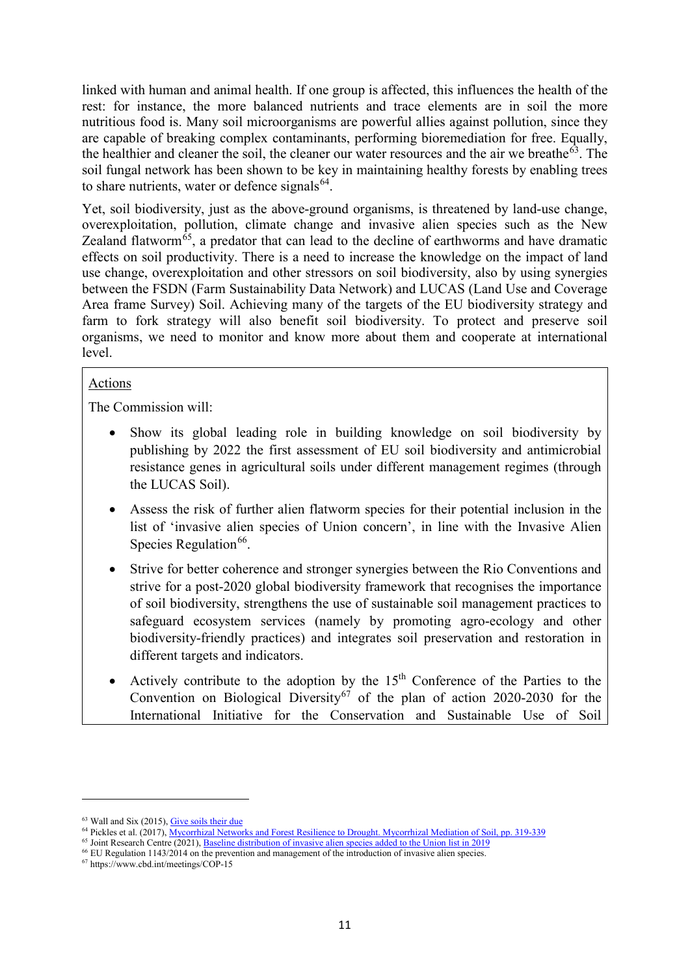linked with human and animal health. If one group is affected, this influences the health of the rest: for instance, the more balanced nutrients and trace elements are in soil the more nutritious food is. Many soil microorganisms are powerful allies against pollution, since they are capable of breaking complex contaminants, performing bioremediation for free. Equally, the healthier and cleaner the soil, the cleaner our water resources and the air we breathe<sup>63</sup>. The soil fungal network has been shown to be key in maintaining healthy forests by enabling trees to share nutrients, water or defence signals $^{64}$  $^{64}$  $^{64}$ .

Yet, soil biodiversity, just as the above-ground organisms, is threatened by land-use change, overexploitation, pollution, climate change and invasive alien species such as the New Zealand flatworm<sup> $65$ </sup>, a predator that can lead to the decline of earthworms and have dramatic effects on soil productivity. There is a need to increase the knowledge on the impact of land use change, overexploitation and other stressors on soil biodiversity, also by using synergies between the FSDN (Farm Sustainability Data Network) and LUCAS (Land Use and Coverage Area frame Survey) Soil. Achieving many of the targets of the EU biodiversity strategy and farm to fork strategy will also benefit soil biodiversity. To protect and preserve soil organisms, we need to monitor and know more about them and cooperate at international level.

# Actions

The Commission will:

- Show its global leading role in building knowledge on soil biodiversity by publishing by 2022 the first assessment of EU soil biodiversity and antimicrobial resistance genes in agricultural soils under different management regimes (through the LUCAS Soil).
- Assess the risk of further alien flatworm species for their potential inclusion in the list of 'invasive alien species of Union concern', in line with the Invasive Alien Species Regulation $^{66}$  $^{66}$  $^{66}$ .
- Strive for better coherence and stronger synergies between the Rio Conventions and strive for a post-2020 global biodiversity framework that recognises the importance of soil biodiversity, strengthens the use of sustainable soil management practices to safeguard ecosystem services (namely by promoting agro-ecology and other biodiversity-friendly practices) and integrates soil preservation and restoration in different targets and indicators.
- Actively contribute to the adoption by the 15<sup>th</sup> Conference of the Parties to the Convention on Biological Diversity<sup>[67](#page-11-4)</sup> of the plan of action 2020-2030 for the International Initiative for the Conservation and Sustainable Use of Soil

<span id="page-11-0"></span><sup>&</sup>lt;sup>63</sup> Wall and Six (2015)[, Give soils their due](https://science.sciencemag.org/content/347/6223/695.full)

<sup>64</sup> Pickles et al. (2017), [Mycorrhizal Networks and Forest Resilience to Drought. Mycorrhizal Mediation of Soil, pp. 319-339](https://www.sciencedirect.com/science/article/pii/B9780128043127000188)

<span id="page-11-2"></span><span id="page-11-1"></span><sup>&</sup>lt;sup>65</sup> Joint Research Centre (2021)[, Baseline distribution of invasive alien species added to the Union list in 2019](https://publications.jrc.ec.europa.eu/repository/bitstream/JRC124283/baseline_of_ias_of_union_concern_listed_in_2019_eur_30631_en.pdf)

<span id="page-11-3"></span><sup>66</sup> EU Regulation 1143/2014 on the prevention and management of the introduction of invasive alien species.

<span id="page-11-4"></span><sup>67</sup> <https://www.cbd.int/meetings/COP-15>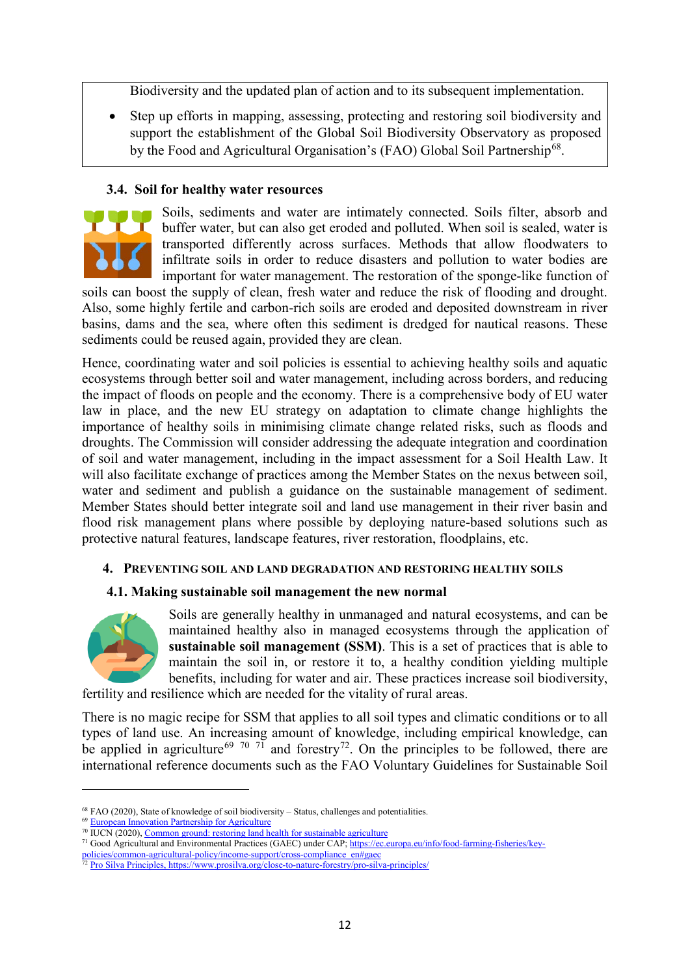Biodiversity and the updated plan of action and to its subsequent implementation.

Step up efforts in mapping, assessing, protecting and restoring soil biodiversity and support the establishment of the Global Soil Biodiversity Observatory as proposed by the Food and Agricultural Organisation's (FAO) Global Soil Partnership<sup>[68](#page-12-0)</sup>.

# **3.4. Soil for healthy water resources**



Soils, sediments and water are intimately connected. Soils filter, absorb and buffer water, but can also get eroded and polluted. When soil is sealed, water is transported differently across surfaces. Methods that allow floodwaters to infiltrate soils in order to reduce disasters and pollution to water bodies are important for water management. The restoration of the sponge-like function of

soils can boost the supply of clean, fresh water and reduce the risk of flooding and drought. Also, some highly fertile and carbon-rich soils are eroded and deposited downstream in river basins, dams and the sea, where often this sediment is dredged for nautical reasons. These sediments could be reused again, provided they are clean.

Hence, coordinating water and soil policies is essential to achieving healthy soils and aquatic ecosystems through better soil and water management, including across borders, and reducing the impact of floods on people and the economy. There is a comprehensive body of EU water law in place, and the new EU strategy on adaptation to climate change highlights the importance of healthy soils in minimising climate change related risks, such as floods and droughts. The Commission will consider addressing the adequate integration and coordination of soil and water management, including in the impact assessment for a Soil Health Law. It will also facilitate exchange of practices among the Member States on the nexus between soil, water and sediment and publish a guidance on the sustainable management of sediment. Member States should better integrate soil and land use management in their river basin and flood risk management plans where possible by deploying nature-based solutions such as protective natural features, landscape features, river restoration, floodplains, etc.

# **4. PREVENTING SOIL AND LAND DEGRADATION AND RESTORING HEALTHY SOILS**

# **4.1. Making sustainable soil management the new normal**



l

Soils are generally healthy in unmanaged and natural ecosystems, and can be maintained healthy also in managed ecosystems through the application of **sustainable soil management (SSM)**. This is a set of practices that is able to maintain the soil in, or restore it to, a healthy condition yielding multiple benefits, including for water and air. These practices increase soil biodiversity,

fertility and resilience which are needed for the vitality of rural areas.

There is no magic recipe for SSM that applies to all soil types and climatic conditions or to all types of land use. An increasing amount of knowledge, including empirical knowledge, can be applied in agriculture<sup>[69](#page-12-1) [70](#page-12-2) [71](#page-12-3)</sup> and forestry<sup>72</sup>. On the principles to be followed, there are international reference documents such as the FAO Voluntary Guidelines for Sustainable Soil

<sup>68</sup> FAO (2020), State of knowledge of soil biodiversity – Status, challenges and potentialities.

<span id="page-12-2"></span><span id="page-12-1"></span><span id="page-12-0"></span> $^{69}$  [European Innovation Partnership for Agriculture](https://ec.europa.eu/eip/agriculture/en/node)  $^{70}$  IUCN (2020)[, Common ground: restoring land health for sustainable agriculture](https://portals.iucn.org/library/sites/library/files/documents/2020-023-En.pdf)

<span id="page-12-3"></span><sup>&</sup>lt;sup>71</sup> Good Agricultural and Environmental Practices (GAEC) under CAP; [https://ec.europa.eu/info/food-farming-fisheries/key-](https://ec.europa.eu/info/food-farming-fisheries/key-policies/common-agricultural-policy/income-support/cross-compliance_en#gaec)

[policies/common-agricultural-policy/income-support/cross-compliance\\_en#gaec](https://ec.europa.eu/info/food-farming-fisheries/key-policies/common-agricultural-policy/income-support/cross-compliance_en#gaec)

<span id="page-12-4"></span><sup>&</sup>lt;sup>72</sup> [Pro](https://www.prosilva.org/close-to-nature-forestry/pro-silva-principles/) Silva Principles[, https://www.prosilva.org/close-to-nature-forestry/pro-silva-principles/](https://www.prosilva.org/close-to-nature-forestry/pro-silva-principles/)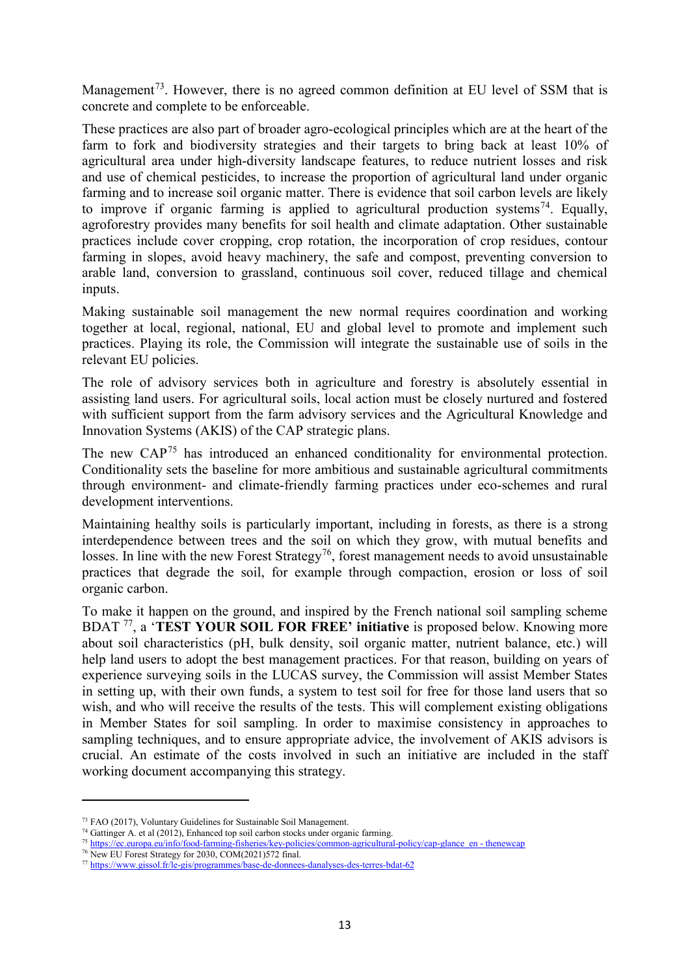Management<sup>[73](#page-13-0)</sup>. However, there is no agreed common definition at EU level of SSM that is concrete and complete to be enforceable.

These practices are also part of broader agro-ecological principles which are at the heart of the farm to fork and biodiversity strategies and their targets to bring back at least 10% of agricultural area under high-diversity landscape features, to reduce nutrient losses and risk and use of chemical pesticides, to increase the proportion of agricultural land under organic farming and to increase soil organic matter. There is evidence that soil carbon levels are likely to improve if organic farming is applied to agricultural production systems<sup>74</sup>. Equally, agroforestry provides many benefits for soil health and climate adaptation. Other sustainable practices include cover cropping, crop rotation, the incorporation of crop residues, contour farming in slopes, avoid heavy machinery, the safe and compost, preventing conversion to arable land, conversion to grassland, continuous soil cover, reduced tillage and chemical inputs.

Making sustainable soil management the new normal requires coordination and working together at local, regional, national, EU and global level to promote and implement such practices. Playing its role, the Commission will integrate the sustainable use of soils in the relevant EU policies.

The role of advisory services both in agriculture and forestry is absolutely essential in assisting land users. For agricultural soils, local action must be closely nurtured and fostered with sufficient support from the farm advisory services and the Agricultural Knowledge and Innovation Systems (AKIS) of the CAP strategic plans.

The new CAP<sup>[75](#page-13-2)</sup> has introduced an enhanced conditionality for environmental protection. Conditionality sets the baseline for more ambitious and sustainable agricultural commitments through environment- and climate-friendly farming practices under eco-schemes and rural development interventions.

Maintaining healthy soils is particularly important, including in forests, as there is a strong interdependence between trees and the soil on which they grow, with mutual benefits and losses. In line with the new Forest Strategy<sup>[76](#page-13-3)</sup>, forest management needs to avoid unsustainable practices that degrade the soil, for example through compaction, erosion or loss of soil organic carbon.

To make it happen on the ground, and inspired by the French national soil sampling scheme BDAT [77,](#page-13-4) a '**TEST YOUR SOIL FOR FREE' initiative** is proposed below. Knowing more about soil characteristics (pH, bulk density, soil organic matter, nutrient balance, etc.) will help land users to adopt the best management practices. For that reason, building on years of experience surveying soils in the LUCAS survey, the Commission will assist Member States in setting up, with their own funds, a system to test soil for free for those land users that so wish, and who will receive the results of the tests. This will complement existing obligations in Member States for soil sampling. In order to maximise consistency in approaches to sampling techniques, and to ensure appropriate advice, the involvement of AKIS advisors is crucial. An estimate of the costs involved in such an initiative are included in the staff working document accompanying this strategy.

<span id="page-13-0"></span><sup>73</sup> FAO (2017), Voluntary Guidelines for Sustainable Soil Management.

<span id="page-13-1"></span><sup>&</sup>lt;sup>74</sup> Gattinger A. et al (2012), Enhanced top soil carbon stocks under organic farming.

<sup>&</sup>lt;sup>75</sup> [https://ec.europa.eu/info/food-farming-fisheries/key-policies/common-agricultural-policy/cap-glance\\_en -](https://ec.europa.eu/info/food-farming-fisheries/key-policies/common-agricultural-policy/cap-glance_en#thenewcap) thenewcap

<span id="page-13-3"></span><span id="page-13-2"></span><sup>76</sup> New EU Forest Strategy for 2030, COM(2021)572 final.

<span id="page-13-4"></span><sup>77</sup> <https://www.gissol.fr/le-gis/programmes/base-de-donnees-danalyses-des-terres-bdat-62>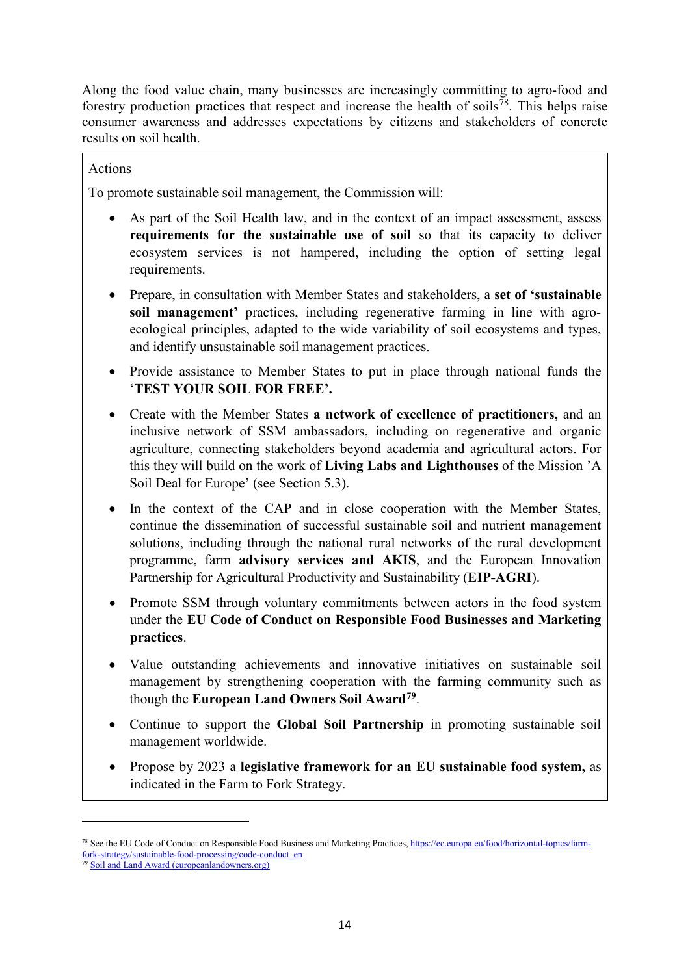Along the food value chain, many businesses are increasingly committing to agro-food and forestry production practices that respect and increase the health of soils<sup>[78](#page-14-0)</sup>. This helps raise consumer awareness and addresses expectations by citizens and stakeholders of concrete results on soil health.

# Actions

To promote sustainable soil management, the Commission will:

- As part of the Soil Health law, and in the context of an impact assessment, assess **requirements for the sustainable use of soil** so that its capacity to deliver ecosystem services is not hampered, including the option of setting legal requirements.
- Prepare, in consultation with Member States and stakeholders, a **set of 'sustainable soil management'** practices, including regenerative farming in line with agroecological principles, adapted to the wide variability of soil ecosystems and types, and identify unsustainable soil management practices.
- Provide assistance to Member States to put in place through national funds the '**TEST YOUR SOIL FOR FREE'.**
- Create with the Member States **a network of excellence of practitioners,** and an inclusive network of SSM ambassadors, including on regenerative and organic agriculture, connecting stakeholders beyond academia and agricultural actors. For this they will build on the work of **Living Labs and Lighthouses** of the Mission 'A Soil Deal for Europe' (see Section 5.3).
- In the context of the CAP and in close cooperation with the Member States, continue the dissemination of successful sustainable soil and nutrient management solutions, including through the national rural networks of the rural development programme, farm **advisory services and AKIS**, and the European Innovation Partnership for Agricultural Productivity and Sustainability (**EIP-AGRI**).
- Promote SSM through voluntary commitments between actors in the food system under the **EU Code of Conduct on Responsible Food Businesses and Marketing practices**.
- Value outstanding achievements and innovative initiatives on sustainable soil management by strengthening cooperation with the farming community such as though the **European Land Owners Soil Award[79](#page-14-1)**.
- Continue to support the **Global Soil Partnership** in promoting sustainable soil management worldwide.
- Propose by 2023 a **legislative framework for an EU sustainable food system,** as indicated in the Farm to Fork Strategy.

<span id="page-14-0"></span><sup>78</sup> See the EU Code of Conduct on Responsible Food Business and Marketing Practices, [https://ec.europa.eu/food/horizontal-topics/farm](https://ec.europa.eu/food/horizontal-topics/farm-fork-strategy/sustainable-food-processing/code-conduct_en)[fork-strategy/sustainable-food-processing/code-conduct\\_en](https://ec.europa.eu/food/horizontal-topics/farm-fork-strategy/sustainable-food-processing/code-conduct_en)

<span id="page-14-1"></span>[Soil and Land Award \(europeanlandowners.org\)](https://www.europeanlandowners.org/awards/soil-land-award)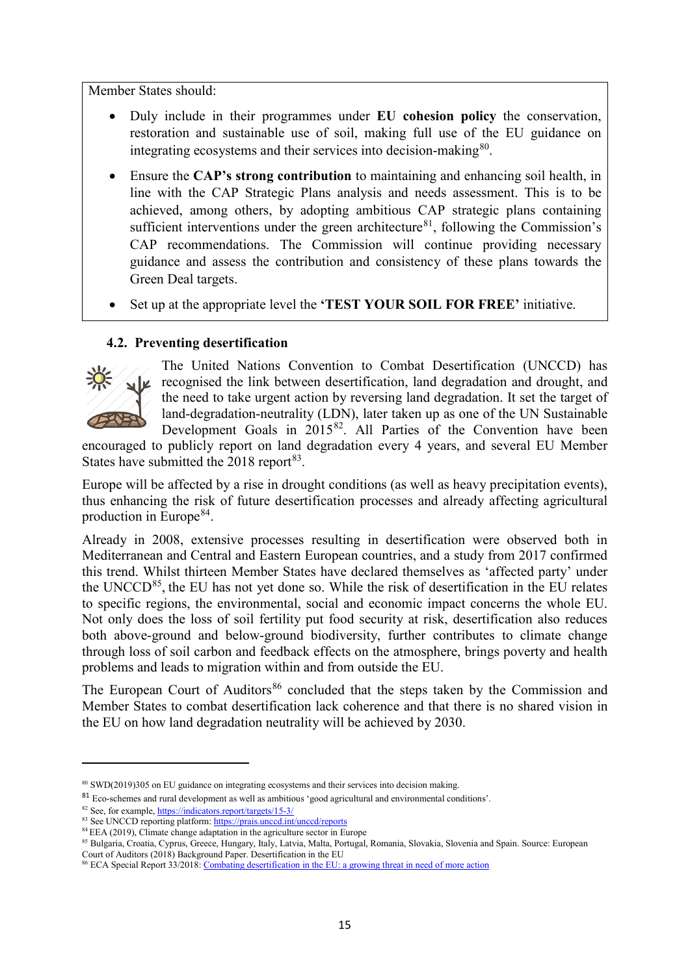Member States should:

- Duly include in their programmes under **EU cohesion policy** the conservation, restoration and sustainable use of soil, making full use of the EU guidance on integrating ecosystems and their services into decision-making  $80$ .
- Ensure the **CAP's strong contribution** to maintaining and enhancing soil health, in line with the CAP Strategic Plans analysis and needs assessment. This is to be achieved, among others, by adopting ambitious CAP strategic plans containing sufficient interventions under the green architecture<sup>81</sup>, following the Commission's CAP recommendations. The Commission will continue providing necessary guidance and assess the contribution and consistency of these plans towards the Green Deal targets.
- Set up at the appropriate level the **'TEST YOUR SOIL FOR FREE'** initiative.

# **4.2. Preventing desertification**



 $\overline{a}$ 

The United Nations Convention to Combat Desertification (UNCCD) has recognised the link between desertification, land degradation and drought, and the need to take urgent action by reversing land degradation. It set the target of land-degradation-neutrality (LDN), later taken up as one of the UN Sustainable Development Goals in  $2015^{82}$  $2015^{82}$  $2015^{82}$ . All Parties of the Convention have been

encouraged to publicly report on land degradation every 4 years, and several EU Member States have submitted the  $2018$  report<sup>[83](#page-15-3)</sup>.

Europe will be affected by a rise in drought conditions (as well as heavy precipitation events), thus enhancing the risk of future desertification processes and already affecting agricultural production in Europe<sup>[84](#page-15-4)</sup>.

Already in 2008, extensive processes resulting in desertification were observed both in Mediterranean and Central and Eastern European countries, and a study from 2017 confirmed this trend. Whilst thirteen Member States have declared themselves as 'affected party' under the UNCCD $^{85}$ , the EU has not yet done so. While the risk of desertification in the EU relates to specific regions, the environmental, social and economic impact concerns the whole EU. Not only does the loss of soil fertility put food security at risk, desertification also reduces both above-ground and below-ground biodiversity, further contributes to climate change through loss of soil carbon and feedback effects on the atmosphere, brings poverty and health problems and leads to migration within and from outside the EU.

The European Court of Auditors<sup>[86](#page-15-6)</sup> concluded that the steps taken by the Commission and Member States to combat desertification lack coherence and that there is no shared vision in the EU on how land degradation neutrality will be achieved by 2030.

<span id="page-15-0"></span><sup>80</sup> SWD(2019)305 on EU guidance on integrating ecosystems and their services into decision making.

<span id="page-15-1"></span><sup>81</sup> Eco-schemes and rural development as well as ambitious 'good agricultural and environmental conditions'.

<span id="page-15-2"></span><sup>82</sup> See, for example, <https://indicators.report/targets/15-3/>

<span id="page-15-3"></span><sup>83</sup> See UNCCD reporting platform[: https://prais.unccd.int/unccd/reports](https://prais.unccd.int/unccd/reports)

<sup>&</sup>lt;sup>84</sup> EEA (2019), Climate change adaptation in the agriculture sector in Europe

<span id="page-15-5"></span><span id="page-15-4"></span><sup>85</sup> Bulgaria, Croatia, Cyprus, Greece, Hungary, Italy, Latvia, Malta, Portugal, Romania, Slovakia, Slovenia and Spain. Source: European Court of Auditors (2018) Background Paper. Desertification in the EU

<span id="page-15-6"></span><sup>&</sup>lt;sup>86</sup> ECA Special Report 33/2018: [Combating desertification in the EU: a growing threat in need of more action](https://op.europa.eu/webpub/eca/special-reports/desertification-33-2018/en/)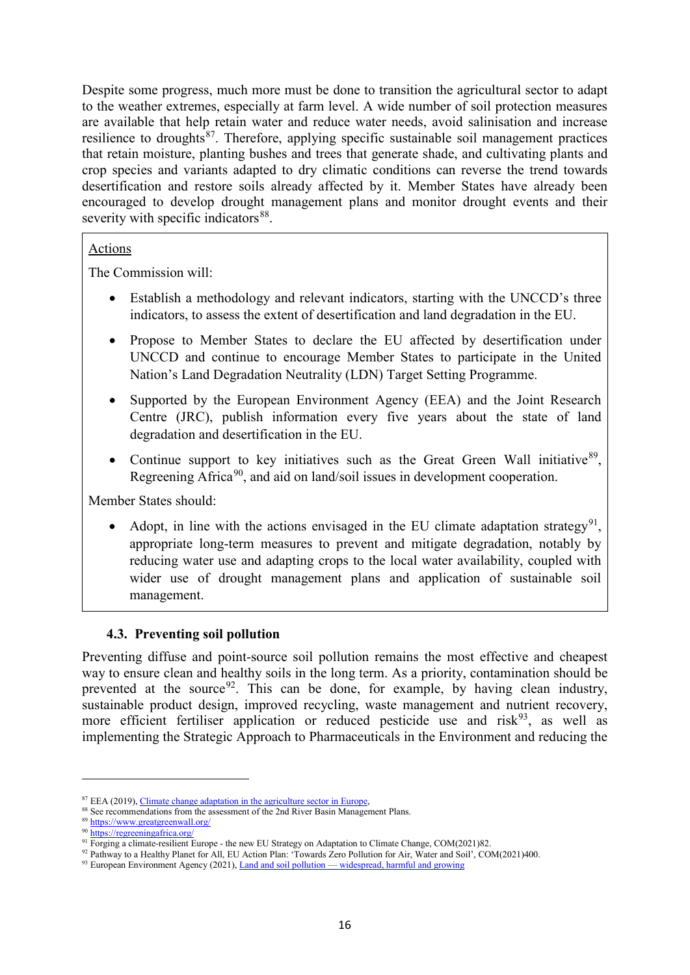Despite some progress, much more must be done to transition the agricultural sector to adapt to the weather extremes, especially at farm level. A wide number of soil protection measures are available that help retain water and reduce water needs, avoid salinisation and increase resilience to droughts<sup>87</sup>. Therefore, applying specific sustainable soil management practices that retain moisture, planting bushes and trees that generate shade, and cultivating plants and crop species and variants adapted to dry climatic conditions can reverse the trend towards desertification and restore soils already affected by it. Member States have already been encouraged to develop drought management plans and monitor drought events and their severity with specific indicators<sup>[88](#page-16-1)</sup>.

# Actions

The Commission will:

- Establish a methodology and relevant indicators, starting with the UNCCD's three indicators, to assess the extent of desertification and land degradation in the EU.
- Propose to Member States to declare the EU affected by desertification under UNCCD and continue to encourage Member States to participate in the United Nation's Land Degradation Neutrality (LDN) Target Setting Programme.
- Supported by the European Environment Agency (EEA) and the Joint Research Centre (JRC), publish information every five years about the state of land degradation and desertification in the EU.
- Continue support to key initiatives such as the Great Green Wall initiative<sup>[89](#page-16-2)</sup>, Regreening Africa<sup>90</sup>, and aid on land/soil issues in development cooperation.

Member States should:

Adopt, in line with the actions envisaged in the EU climate adaptation strategy<sup>[91](#page-16-4)</sup>. appropriate long-term measures to prevent and mitigate degradation, notably by reducing water use and adapting crops to the local water availability, coupled with wider use of drought management plans and application of sustainable soil management.

# **4.3. Preventing soil pollution**

Preventing diffuse and point-source soil pollution remains the most effective and cheapest way to ensure clean and healthy soils in the long term. As a priority, contamination should be prevented at the source<sup>[92](#page-16-5)</sup>. This can be done, for example, by having clean industry, sustainable product design, improved recycling, waste management and nutrient recovery, more efficient fertiliser application or reduced pesticide use and risk $93$ , as well as implementing the Strategic Approach to Pharmaceuticals in the Environment and reducing the

<span id="page-16-0"></span><sup>&</sup>lt;sup>87</sup> EEA (2019)[, Climate change adaptation in the agriculture sector in Europe,](https://www.eea.europa.eu/publications/cc-adaptation-agriculture) <sup>88</sup> See recommendations from the assessment of the 2nd River Basin Management Plans.

<span id="page-16-2"></span><span id="page-16-1"></span><sup>89</sup> <https://www.greatgreenwall.org/>

<span id="page-16-3"></span><sup>90</sup> <https://regreeningafrica.org/>

<sup>&</sup>lt;sup>91</sup> Forging a climate-resilient Europe - the new EU Strategy on Adaptation to Climate Change, COM(2021)82.

<span id="page-16-6"></span><span id="page-16-5"></span><span id="page-16-4"></span><sup>92</sup> Pathway to a Healthy Planet for All, EU Action Plan: 'Towards Zero Pollution for Air, Water and Soil', COM(2021)400.

<sup>&</sup>lt;sup>93</sup> European Environment Agency (2021), *Land and soil pollution* — [widespread, harmful and growing](https://www.eea.europa.eu/signals/signals-2020/articles/land-and-soil-pollution)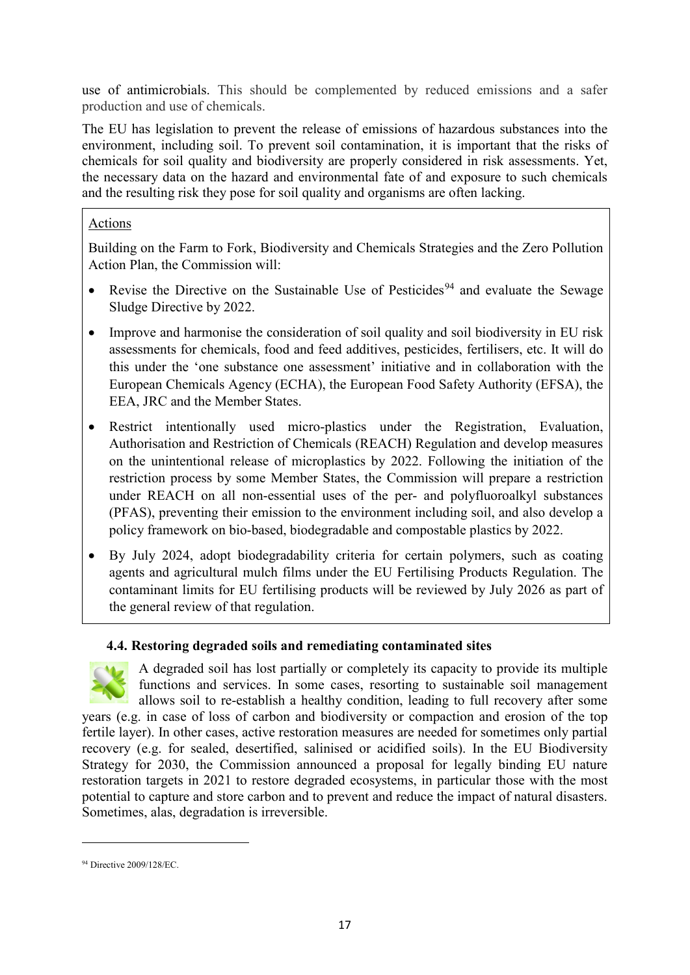use of antimicrobials. This should be complemented by reduced emissions and a safer production and use of chemicals.

The EU has legislation to prevent the release of emissions of hazardous substances into the environment, including soil. To prevent soil contamination, it is important that the risks of chemicals for soil quality and biodiversity are properly considered in risk assessments. Yet, the necessary data on the hazard and environmental fate of and exposure to such chemicals and the resulting risk they pose for soil quality and organisms are often lacking.

# Actions

Building on the Farm to Fork, Biodiversity and Chemicals Strategies and the Zero Pollution Action Plan, the Commission will:

- Revise the Directive on the Sustainable Use of Pesticides<sup>[94](#page-17-0)</sup> and evaluate the Sewage Sludge Directive by 2022.
- Improve and harmonise the consideration of soil quality and soil biodiversity in EU risk assessments for chemicals, food and feed additives, pesticides, fertilisers, etc. It will do this under the 'one substance one assessment' initiative and in collaboration with the European Chemicals Agency (ECHA), the European Food Safety Authority (EFSA), the EEA, JRC and the Member States.
- Restrict intentionally used micro-plastics under the Registration, Evaluation, Authorisation and Restriction of Chemicals (REACH) Regulation and develop measures on the unintentional release of microplastics by 2022. Following the initiation of the restriction process by some Member States, the Commission will prepare a restriction under REACH on all non-essential uses of the per- and polyfluoroalkyl substances (PFAS), preventing their emission to the environment including soil, and also develop a policy framework on bio-based, biodegradable and compostable plastics by 2022.
- By July 2024, adopt biodegradability criteria for certain polymers, such as coating agents and agricultural mulch films under the EU Fertilising Products Regulation. The contaminant limits for EU fertilising products will be reviewed by July 2026 as part of the general review of that regulation.

# **4.4. Restoring degraded soils and remediating contaminated sites**



A degraded soil has lost partially or completely its capacity to provide its multiple functions and services. In some cases, resorting to sustainable soil management allows soil to re-establish a healthy condition, leading to full recovery after some

years (e.g. in case of loss of carbon and biodiversity or compaction and erosion of the top fertile layer). In other cases, active restoration measures are needed for sometimes only partial recovery (e.g. for sealed, desertified, salinised or acidified soils). In the EU Biodiversity Strategy for 2030, the Commission announced a proposal for legally binding EU nature restoration targets in 2021 to restore degraded ecosystems, in particular those with the most potential to capture and store carbon and to prevent and reduce the impact of natural disasters. Sometimes, alas, degradation is irreversible.

<span id="page-17-0"></span><sup>94</sup> Directive 2009/128/EC.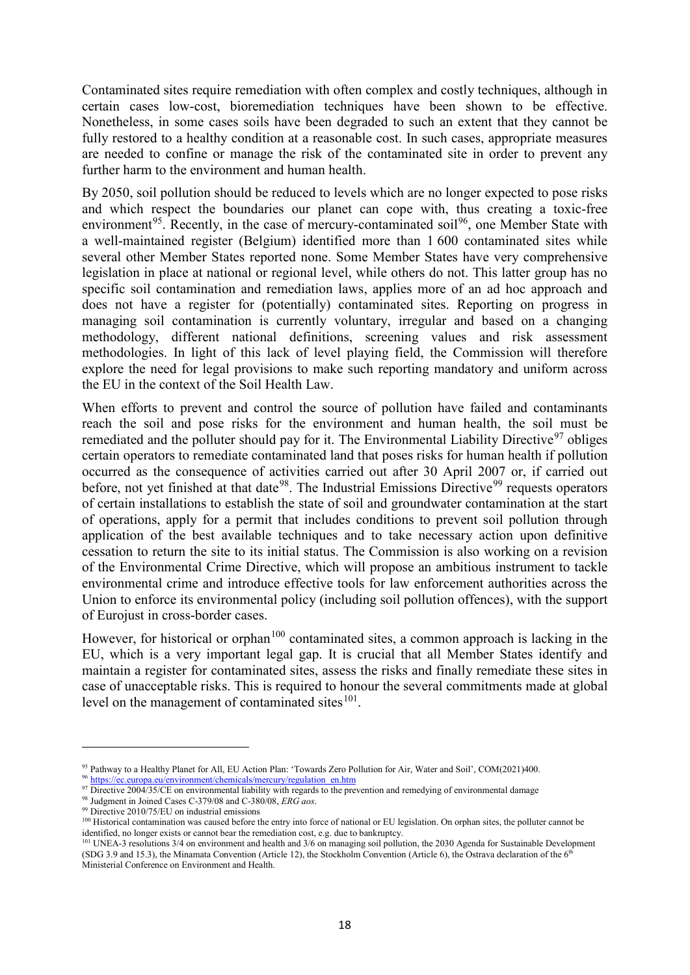Contaminated sites require remediation with often complex and costly techniques, although in certain cases low-cost, bioremediation techniques have been shown to be effective. Nonetheless, in some cases soils have been degraded to such an extent that they cannot be fully restored to a healthy condition at a reasonable cost. In such cases, appropriate measures are needed to confine or manage the risk of the contaminated site in order to prevent any further harm to the environment and human health.

By 2050, soil pollution should be reduced to levels which are no longer expected to pose risks and which respect the boundaries our planet can cope with, thus creating a toxic-free environment<sup>[95](#page-18-0)</sup>. Recently, in the case of mercury-contaminated soil<sup>96</sup>, one Member State with a well-maintained register (Belgium) identified more than 1 600 contaminated sites while several other Member States reported none. Some Member States have very comprehensive legislation in place at national or regional level, while others do not. This latter group has no specific soil contamination and remediation laws, applies more of an ad hoc approach and does not have a register for (potentially) contaminated sites. Reporting on progress in managing soil contamination is currently voluntary, irregular and based on a changing methodology, different national definitions, screening values and risk assessment methodologies. In light of this lack of level playing field, the Commission will therefore explore the need for legal provisions to make such reporting mandatory and uniform across the EU in the context of the Soil Health Law.

When efforts to prevent and control the source of pollution have failed and contaminants reach the soil and pose risks for the environment and human health, the soil must be remediated and the polluter should pay for it. The Environmental Liability Directive<sup>[97](#page-18-2)</sup> obliges certain operators to remediate contaminated land that poses risks for human health if pollution occurred as the consequence of activities carried out after 30 April 2007 or, if carried out before, not yet finished at that date<sup>[98](#page-18-3)</sup>. The Industrial Emissions Directive<sup>[99](#page-18-4)</sup> requests operators of certain installations to establish the state of soil and groundwater contamination at the start of operations, apply for a permit that includes conditions to prevent soil pollution through application of the best available techniques and to take necessary action upon definitive cessation to return the site to its initial status. The Commission is also working on a revision of the Environmental Crime Directive, which will propose an ambitious instrument to tackle environmental crime and introduce effective tools for law enforcement authorities across the Union to enforce its environmental policy (including soil pollution offences), with the support of Eurojust in cross-border cases.

However, for historical or orphan<sup>[100](#page-18-5)</sup> contaminated sites, a common approach is lacking in the EU, which is a very important legal gap. It is crucial that all Member States identify and maintain a register for contaminated sites, assess the risks and finally remediate these sites in case of unacceptable risks. This is required to honour the several commitments made at global level on the management of contaminated sites $101$ .

<span id="page-18-0"></span><sup>95</sup> Pathway to a Healthy Planet for All, EU Action Plan: 'Towards Zero Pollution for Air, Water and Soil', COM(2021)400. <sup>96</sup> [https://ec.europa.eu/environment/chemicals/mercury/regulation\\_en.htm](https://ec.europa.eu/environment/chemicals/mercury/regulation_en.htm)

<span id="page-18-2"></span><span id="page-18-1"></span><sup>97</sup> Directive 2004/35/CE on environmental liability with regards to the prevention and remedying of environmental damage

<span id="page-18-3"></span><sup>98</sup> Judgment in Joined Cases C-379/08 and C-380/08, *ERG aos*.

<span id="page-18-4"></span><sup>99</sup> Directive 2010/75/EU on industrial emissions

<span id="page-18-5"></span><sup>&</sup>lt;sup>100</sup> Historical contamination was caused before the entry into force of national or EU legislation. On orphan sites, the polluter cannot be identified, no longer exists or cannot bear the remediation cost, e.g. due to bankruptcy.

<span id="page-18-6"></span><sup>&</sup>lt;sup>101</sup> UNEA-3 resolutions  $3/4$  on environment and health and  $3/6$  on managing soil pollution, the 2030 Agenda for Sustainable Development (SDG 3.9 and 15.3), the Minamata Convention (Article 12), the Stockholm Convention (Article 6), the Ostrava declaration of the  $6<sup>th</sup>$ Ministerial Conference on Environment and Health.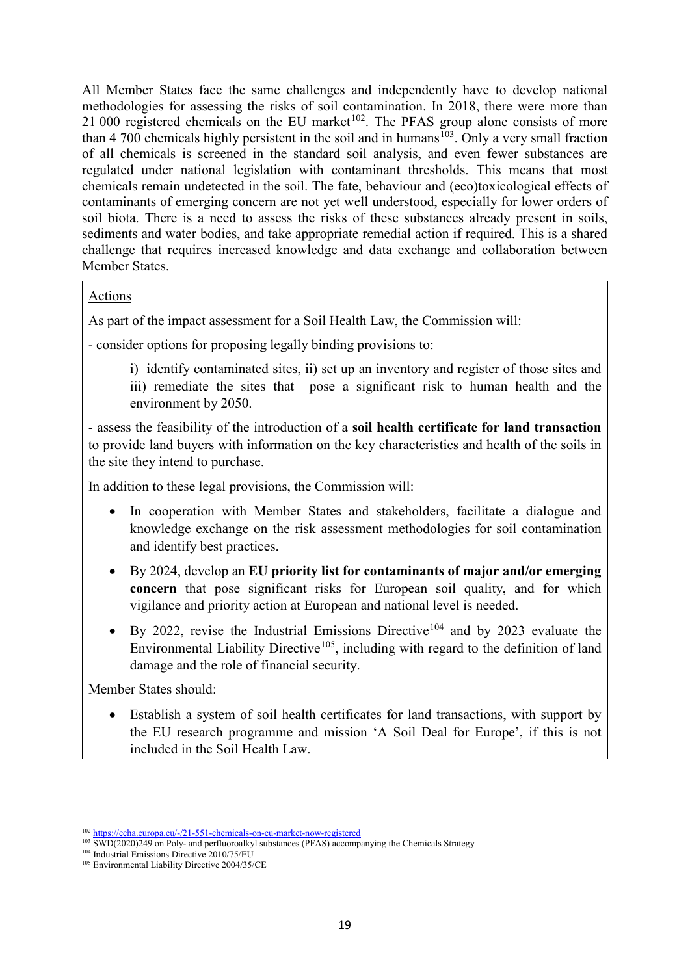All Member States face the same challenges and independently have to develop national methodologies for assessing the risks of soil contamination. In 2018, there were more than 21 000 registered chemicals on the EU market<sup> $102$ </sup>. The PFAS group alone consists of more than  $4\,700$  chemicals highly persistent in the soil and in humans<sup>[103](#page-19-1)</sup>. Only a very small fraction of all chemicals is screened in the standard soil analysis, and even fewer substances are regulated under national legislation with contaminant thresholds. This means that most chemicals remain undetected in the soil. The fate, behaviour and (eco)toxicological effects of contaminants of emerging concern are not yet well understood, especially for lower orders of soil biota. There is a need to assess the risks of these substances already present in soils, sediments and water bodies, and take appropriate remedial action if required. This is a shared challenge that requires increased knowledge and data exchange and collaboration between Member States.

## Actions

As part of the impact assessment for a Soil Health Law, the Commission will:

- consider options for proposing legally binding provisions to:

i) identify contaminated sites, ii) set up an inventory and register of those sites and iii) remediate the sites that pose a significant risk to human health and the environment by 2050.

- assess the feasibility of the introduction of a **soil health certificate for land transaction** to provide land buyers with information on the key characteristics and health of the soils in the site they intend to purchase.

In addition to these legal provisions, the Commission will:

- In cooperation with Member States and stakeholders, facilitate a dialogue and knowledge exchange on the risk assessment methodologies for soil contamination and identify best practices.
- By 2024, develop an **EU priority list for contaminants of major and/or emerging concern** that pose significant risks for European soil quality, and for which vigilance and priority action at European and national level is needed.
- By 2022, revise the Industrial Emissions Directive<sup>[104](#page-19-2)</sup> and by 2023 evaluate the Environmental Liability Directive<sup>[105](#page-19-3)</sup>, including with regard to the definition of land damage and the role of financial security.

Member States should:

 $\overline{a}$ 

• Establish a system of soil health certificates for land transactions, with support by the EU research programme and mission 'A Soil Deal for Europe', if this is not included in the Soil Health Law.

<sup>102</sup> https://echa.europa.eu/-/21-551-chemicals-on-eu-market-now-registered

<span id="page-19-1"></span><span id="page-19-0"></span><sup>&</sup>lt;sup>103</sup> SWD(2020)249 on Poly- and perfluoroalkyl substances (PFAS) accompanying the Chemicals Strategy

<span id="page-19-2"></span><sup>104</sup> Industrial Emissions Directive 2010/75/EU

<span id="page-19-3"></span><sup>&</sup>lt;sup>105</sup> Environmental Liability Directive 2004/35/CE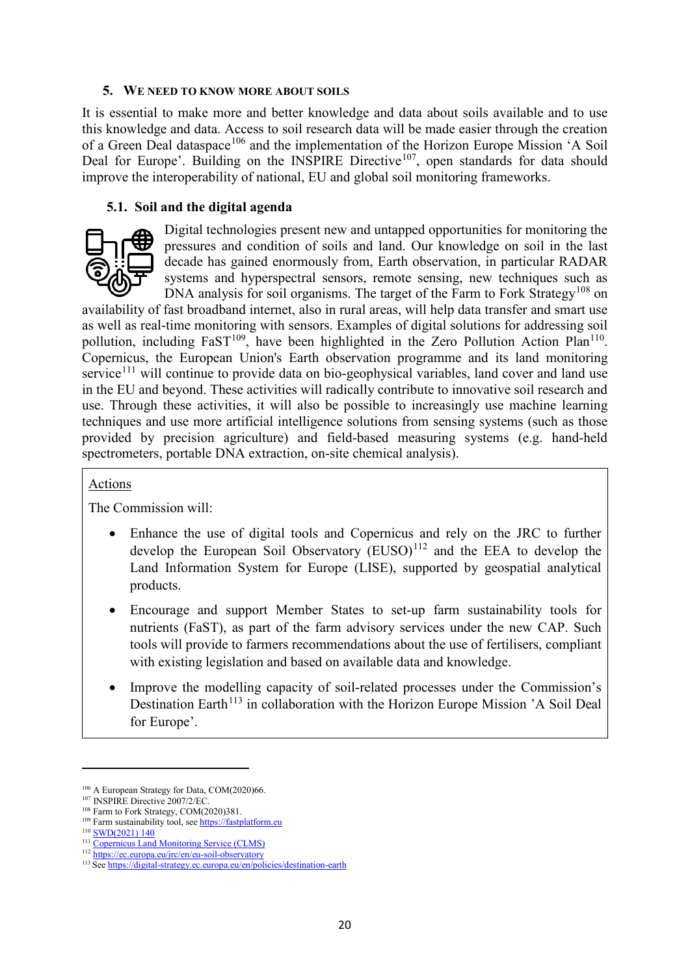### **5. WE NEED TO KNOW MORE ABOUT SOILS**

It is essential to make more and better knowledge and data about soils available and to use this knowledge and data. Access to soil research data will be made easier through the creation of a Green Deal dataspace<sup>[106](#page-20-0)</sup> and the implementation of the Horizon Europe Mission 'A Soil Deal for Europe'. Building on the INSPIRE Directive<sup>[107](#page-20-1)</sup>, open standards for data should improve the interoperability of national, EU and global soil monitoring frameworks.

### **5.1. Soil and the digital agenda**



Digital technologies present new and untapped opportunities for monitoring the pressures and condition of soils and land. Our knowledge on soil in the last decade has gained enormously from, Earth observation, in particular RADAR systems and hyperspectral sensors, remote sensing, new techniques such as DNA analysis for soil organisms. The target of the Farm to Fork Strategy<sup>[108](#page-20-2)</sup> on

availability of fast broadband internet, also in rural areas, will help data transfer and smart use as well as real-time monitoring with sensors. Examples of digital solutions for addressing soil pollution, including  $FaST^{109}$  $FaST^{109}$  $FaST^{109}$ , have been highlighted in the Zero Pollution Action Plan<sup>110</sup>. Copernicus, the European Union's Earth observation programme and its land monitoring service<sup>[111](#page-20-5)</sup> will continue to provide data on bio-geophysical variables, land cover and land use in the EU and beyond. These activities will radically contribute to innovative soil research and use. Through these activities, it will also be possible to increasingly use machine learning techniques and use more artificial intelligence solutions from sensing systems (such as those provided by precision agriculture) and field-based measuring systems (e.g. hand-held spectrometers, portable DNA extraction, on-site chemical analysis).

#### Actions

The Commission will:

- Enhance the use of digital tools and Copernicus and rely on the JRC to further develop the European Soil Observatory  $(EUSO)^{112}$  $(EUSO)^{112}$  $(EUSO)^{112}$  and the EEA to develop the Land Information System for Europe (LISE), supported by geospatial analytical products.
- Encourage and support Member States to set-up farm sustainability tools for nutrients (FaST), as part of the farm advisory services under the new CAP. Such tools will provide to farmers recommendations about the use of fertilisers, compliant with existing legislation and based on available data and knowledge.
- Improve the modelling capacity of soil-related processes under the Commission's Destination Earth<sup> $113$ </sup> in collaboration with the Horizon Europe Mission 'A Soil Deal for Europe'.

<span id="page-20-0"></span><sup>&</sup>lt;sup>106</sup> A European Strategy for Data, COM(2020)66.

<span id="page-20-1"></span><sup>&</sup>lt;sup>107</sup> INSPIRE Directive 2007/2/EC.

<sup>&</sup>lt;sup>108</sup> Farm to Fork Strategy, COM(2020)381.

<span id="page-20-3"></span><span id="page-20-2"></span><sup>&</sup>lt;sup>109</sup> Farm sustainability tool, se[e https://fastplatform.eu](https://fastplatform.eu/)

<span id="page-20-4"></span> $\frac{110}{111}$   $\frac{SWD(2021) 140}{Copernicus Land Monitoring Service (CLMS)}$  $\frac{SWD(2021) 140}{Copernicus Land Monitoring Service (CLMS)}$  $\frac{SWD(2021) 140}{Copernicus Land Monitoring Service (CLMS)}$ 

<span id="page-20-6"></span><span id="page-20-5"></span><sup>112</sup> https://ec.europa.eu/jrc/en/eu-soil-observatory

<span id="page-20-7"></span><sup>113</sup> Se[e https://digital-strategy.ec.europa.eu/en/policies/destination-earth](https://digital-strategy.ec.europa.eu/en/policies/destination-earth)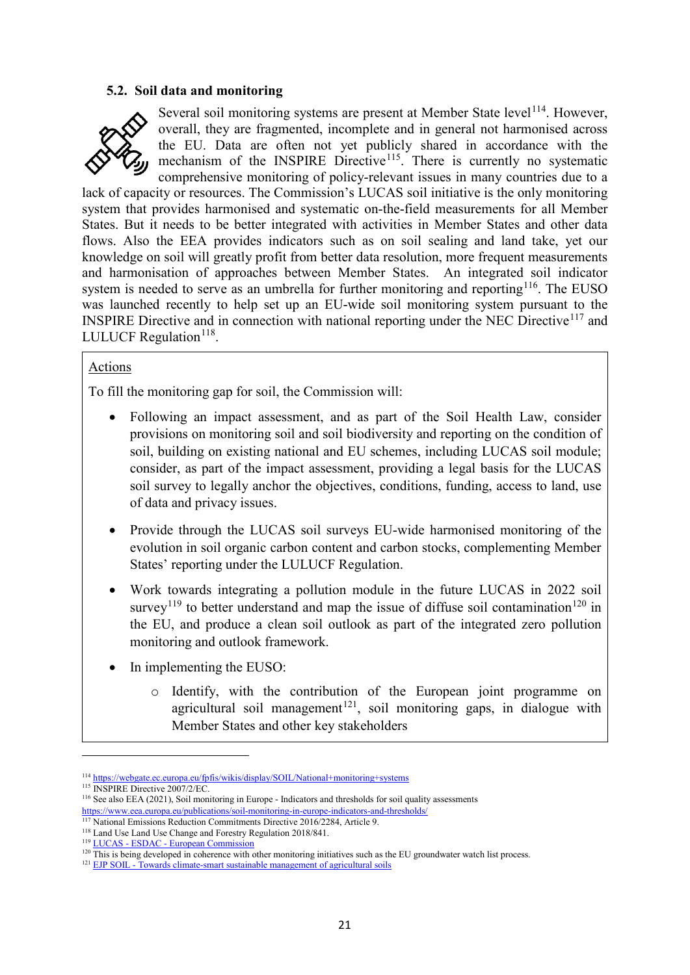#### **5.2. Soil data and monitoring**



Several soil monitoring systems are present at Member State level<sup>[114](#page-21-0)</sup>. However, overall, they are fragmented, incomplete and in general not harmonised across the EU. Data are often not yet publicly shared in accordance with the mechanism of the INSPIRE Directive<sup>115</sup>. There is currently no systematic comprehensive monitoring of policy-relevant issues in many countries due to a

lack of capacity or resources. The Commission's LUCAS soil initiative is the only monitoring system that provides harmonised and systematic on-the-field measurements for all Member States. But it needs to be better integrated with activities in Member States and other data flows. Also the EEA provides indicators such as on soil sealing and land take, yet our knowledge on soil will greatly profit from better data resolution, more frequent measurements and harmonisation of approaches between Member States. An integrated soil indicator system is needed to serve as an umbrella for further monitoring and reporting<sup>[116](#page-21-2)</sup>. The EUSO was launched recently to help set up an EU-wide soil monitoring system pursuant to the INSPIRE Directive and in connection with national reporting under the NEC Directive<sup>[117](#page-21-3)</sup> and LULUCF Regulation $118$ .

#### Actions

To fill the monitoring gap for soil, the Commission will:

- Following an impact assessment, and as part of the Soil Health Law, consider provisions on monitoring soil and soil biodiversity and reporting on the condition of soil, building on existing national and EU schemes, including LUCAS soil module; consider, as part of the impact assessment, providing a legal basis for the LUCAS soil survey to legally anchor the objectives, conditions, funding, access to land, use of data and privacy issues.
- Provide through the LUCAS soil surveys EU-wide harmonised monitoring of the evolution in soil organic carbon content and carbon stocks, complementing Member States' reporting under the LULUCF Regulation.
- Work towards integrating a pollution module in the future LUCAS in 2022 soil survey<sup>[119](#page-21-5)</sup> to better understand and map the issue of diffuse soil contamination<sup>[120](#page-21-6)</sup> in the EU, and produce a clean soil outlook as part of the integrated zero pollution monitoring and outlook framework.
- In implementing the EUSO:
	- o Identify, with the contribution of the European joint programme on agricultural soil management<sup>[121](#page-21-7)</sup>, soil monitoring gaps, in dialogue with Member States and other key stakeholders

<span id="page-21-0"></span><sup>114</sup> <https://webgate.ec.europa.eu/fpfis/wikis/display/SOIL/National+monitoring+systems>

<span id="page-21-1"></span><sup>&</sup>lt;sup>115</sup> INSPIRE Directive 2007/2/EC.

<span id="page-21-2"></span><sup>&</sup>lt;sup>116</sup> See also EEA (2021), Soil monitoring in Europe - Indicators and thresholds for soil quality assessments <https://www.eea.europa.eu/publications/soil-monitoring-in-europe-indicators-and-thresholds/>

<sup>&</sup>lt;sup>117</sup> National Emissions Reduction Commitments Directive 2016/2284, Article 9.

<span id="page-21-4"></span><span id="page-21-3"></span><sup>118</sup> Land Use Land Use Change and Forestry Regulation 2018/841.

<span id="page-21-5"></span><sup>119</sup> LUCAS - ESDAC - [European Commission](https://esdac.jrc.ec.europa.eu/projects/lucas)

<span id="page-21-7"></span><span id="page-21-6"></span> $120$  This is being developed in coherence with other monitoring initiatives such as the EU groundwater watch list process.  $121$  EJP SOIL - [Towards climate-smart sustainable management of agricultural soils](https://ejpsoil.eu/)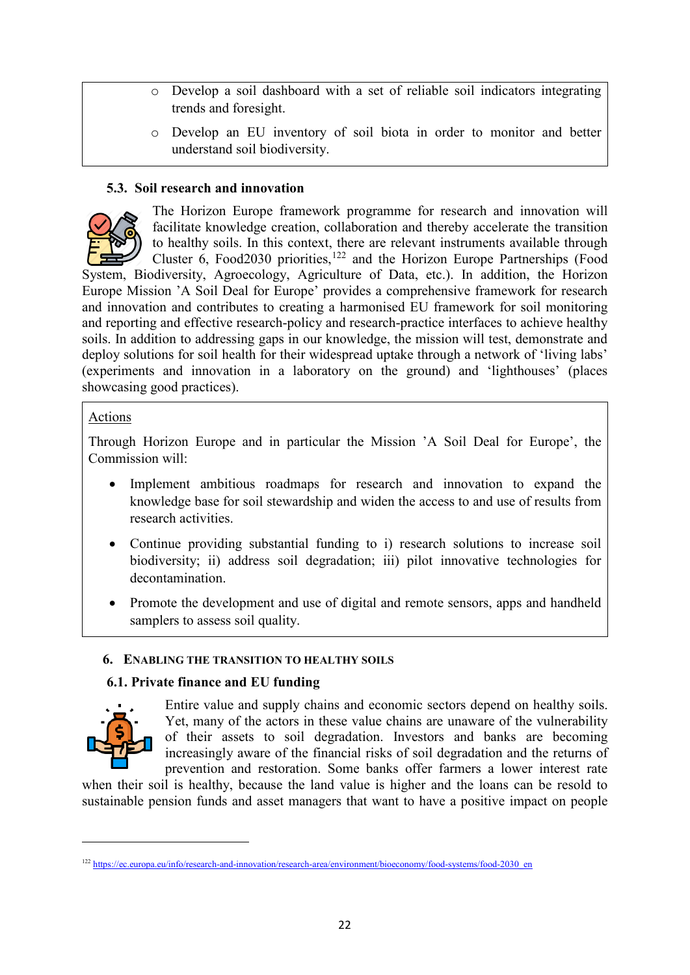- o Develop a soil dashboard with a set of reliable soil indicators integrating trends and foresight.
- o Develop an EU inventory of soil biota in order to monitor and better understand soil biodiversity.

# **5.3. Soil research and innovation**



The Horizon Europe framework programme for research and innovation will facilitate knowledge creation, collaboration and thereby accelerate the transition to healthy soils. In this context, there are relevant instruments available through Cluster 6, Food2030 priorities,  $122$  and the Horizon Europe Partnerships (Food System, Biodiversity, Agroecology, Agriculture of Data, etc.). In addition, the Horizon

Europe Mission 'A Soil Deal for Europe' provides a comprehensive framework for research and innovation and contributes to creating a harmonised EU framework for soil monitoring and reporting and effective research-policy and research-practice interfaces to achieve healthy soils. In addition to addressing gaps in our knowledge, the mission will test, demonstrate and deploy solutions for soil health for their widespread uptake through a network of 'living labs' (experiments and innovation in a laboratory on the ground) and 'lighthouses' (places showcasing good practices).

# Actions

Through Horizon Europe and in particular the Mission 'A Soil Deal for Europe', the Commission will:

- Implement ambitious roadmaps for research and innovation to expand the knowledge base for soil stewardship and widen the access to and use of results from research activities.
- Continue providing substantial funding to i) research solutions to increase soil biodiversity; ii) address soil degradation; iii) pilot innovative technologies for decontamination.
- Promote the development and use of digital and remote sensors, apps and handheld samplers to assess soil quality.

# **6. ENABLING THE TRANSITION TO HEALTHY SOILS**

# **6.1. Private finance and EU funding**



l

Entire value and supply chains and economic sectors depend on healthy soils. Yet, many of the actors in these value chains are unaware of the vulnerability of their assets to soil degradation. Investors and banks are becoming increasingly aware of the financial risks of soil degradation and the returns of prevention and restoration. Some banks offer farmers a lower interest rate

when their soil is healthy, because the land value is higher and the loans can be resold to sustainable pension funds and asset managers that want to have a positive impact on people

<span id="page-22-0"></span><sup>&</sup>lt;sup>122</sup> [https://ec.europa.eu/info/research-and-innovation/research-area/environment/bioeconomy/food-systems/food-2030\\_en](https://ec.europa.eu/info/research-and-innovation/research-area/environment/bioeconomy/food-systems/food-2030_en)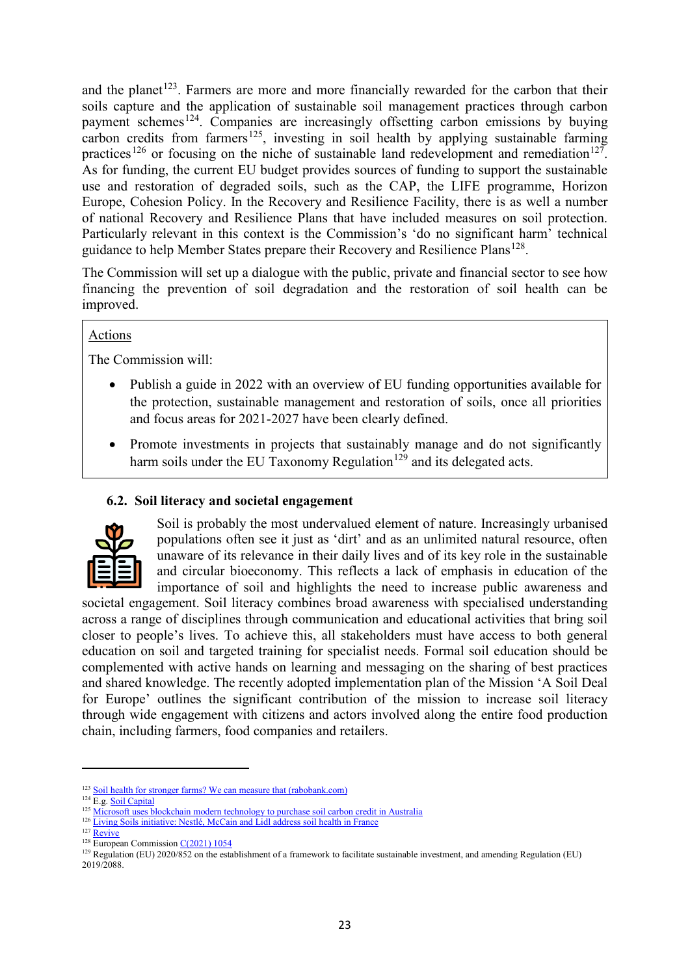and the planet<sup>[123](#page-23-0)</sup>. Farmers are more and more financially rewarded for the carbon that their soils capture and the application of sustainable soil management practices through carbon payment schemes<sup>124</sup>. Companies are increasingly offsetting carbon emissions by buying carbon credits from farmers<sup>125</sup>, investing in soil health by applying sustainable farming practices<sup>[126](#page-23-3)</sup> or focusing on the niche of sustainable land redevelopment and remediation<sup>127</sup>. As for funding, the current EU budget provides sources of funding to support the sustainable use and restoration of degraded soils, such as the CAP, the LIFE programme, Horizon Europe, Cohesion Policy. In the Recovery and Resilience Facility, there is as well a number of national Recovery and Resilience Plans that have included measures on soil protection. Particularly relevant in this context is the Commission's 'do no significant harm' technical guidance to help Member States prepare their Recovery and Resilience Plans<sup>[128](#page-23-5)</sup>.

The Commission will set up a dialogue with the public, private and financial sector to see how financing the prevention of soil degradation and the restoration of soil health can be improved.

### Actions

The Commission will:

- Publish a guide in 2022 with an overview of EU funding opportunities available for the protection, sustainable management and restoration of soils, once all priorities and focus areas for 2021-2027 have been clearly defined.
- Promote investments in projects that sustainably manage and do not significantly harm soils under the EU Taxonomy Regulation<sup>[129](#page-23-6)</sup> and its delegated acts.

# **6.2. Soil literacy and societal engagement**



Soil is probably the most undervalued element of nature. Increasingly urbanised populations often see it just as 'dirt' and as an unlimited natural resource, often unaware of its relevance in their daily lives and of its key role in the sustainable and circular bioeconomy. This reflects a lack of emphasis in education of the importance of soil and highlights the need to increase public awareness and

societal engagement. Soil literacy combines broad awareness with specialised understanding across a range of disciplines through communication and educational activities that bring soil closer to people's lives. To achieve this, all stakeholders must have access to both general education on soil and targeted training for specialist needs. Formal soil education should be complemented with active hands on learning and messaging on the sharing of best practices and shared knowledge. The recently adopted implementation plan of the Mission 'A Soil Deal for Europe' outlines the significant contribution of the mission to increase soil literacy through wide engagement with citizens and actors involved along the entire food production chain, including farmers, food companies and retailers.

<span id="page-23-0"></span><sup>123</sup> [Soil health for stronger farms? We can measure that \(rabobank.com\)](https://www.rabobank.com/en/raboworld/articles/soil-health-for-stronger-farms-we-can-measure-that.html)

<span id="page-23-1"></span><sup>&</sup>lt;sup>124</sup> E.g[. Soil Capital](https://www.soilcapital.com/)

<sup>&</sup>lt;sup>125</sup> [Microsoft uses blockchain modern technology to purchase soil carbon credit in Australia](https://blooo.io/microsoft-uses-blockchain-modern-technology-to-purchase-soil-carbon-credit-in-australia/)

<span id="page-23-2"></span><sup>&</sup>lt;sup>126</sup> [Living Soils initiative: Nestlé, McCain and Lidl address soil health in France](https://www.foodnavigator.com/Article/2020/12/16/Living-Soils-initiative-Nestle-McCain-and-Lidl-address-soil-health-in-France)

<span id="page-23-4"></span><span id="page-23-3"></span> $127$  [Revive](https://www.revive.be/en/)

 $\frac{128}{\text{European Commission C}(2021) 1054}$ 

<span id="page-23-6"></span><span id="page-23-5"></span> $129$  Regulation (EU) 2020/852 on the establishment of a framework to facilitate sustainable investment, and amending Regulation (EU) 2019/2088.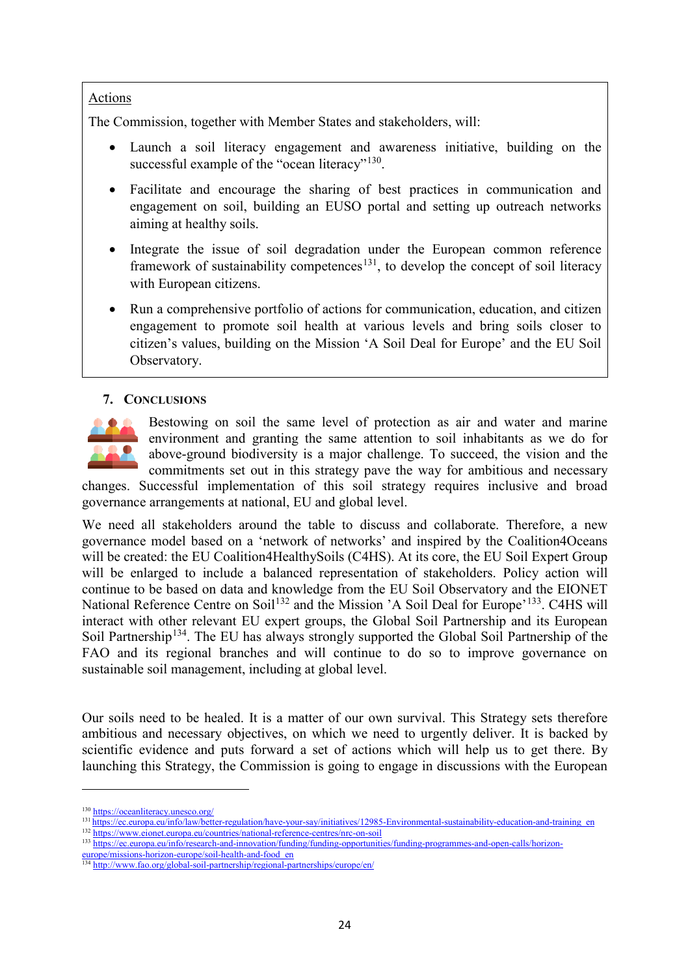# Actions

The Commission, together with Member States and stakeholders, will:

- Launch a soil literacy engagement and awareness initiative, building on the successful example of the "ocean literacy"<sup>[130](#page-24-0)</sup>.
- Facilitate and encourage the sharing of best practices in communication and engagement on soil, building an EUSO portal and setting up outreach networks aiming at healthy soils.
- Integrate the issue of soil degradation under the European common reference framework of sustainability competences<sup>131</sup>, to develop the concept of soil literacy with European citizens.
- Run a comprehensive portfolio of actions for communication, education, and citizen engagement to promote soil health at various levels and bring soils closer to citizen's values, building on the Mission 'A Soil Deal for Europe' and the EU Soil Observatory.

# **7. CONCLUSIONS**



Bestowing on soil the same level of protection as air and water and marine environment and granting the same attention to soil inhabitants as we do for above-ground biodiversity is a major challenge. To succeed, the vision and the commitments set out in this strategy pave the way for ambitious and necessary

changes. Successful implementation of this soil strategy requires inclusive and broad governance arrangements at national, EU and global level.

We need all stakeholders around the table to discuss and collaborate. Therefore, a new governance model based on a 'network of networks' and inspired by the Coalition4Oceans will be created: the EU Coalition4HealthySoils (C4HS). At its core, the EU Soil Expert Group will be enlarged to include a balanced representation of stakeholders. Policy action will continue to be based on data and knowledge from the EU Soil Observatory and the EIONET National Reference Centre on Soil<sup>[132](#page-24-2)</sup> and the Mission 'A Soil Deal for Europe'<sup>[133](#page-24-3)</sup>. C4HS will interact with other relevant EU expert groups, the Global Soil Partnership and its European Soil Partnership<sup>[134](#page-24-4)</sup>. The EU has always strongly supported the Global Soil Partnership of the FAO and its regional branches and will continue to do so to improve governance on sustainable soil management, including at global level.

Our soils need to be healed. It is a matter of our own survival. This Strategy sets therefore ambitious and necessary objectives, on which we need to urgently deliver. It is backed by scientific evidence and puts forward a set of actions which will help us to get there. By launching this Strategy, the Commission is going to engage in discussions with the European

- <span id="page-24-2"></span><span id="page-24-1"></span>
- 133 [https://ec.europa.eu/info/research-and-innovation/funding/funding-opportunities/funding-programmes-and-open-calls/horizon-](https://ec.europa.eu/info/research-and-innovation/funding/funding-opportunities/funding-programmes-and-open-calls/horizon-europe/missions-horizon-europe/soil-health-and-food_en)

<span id="page-24-0"></span><sup>&</sup>lt;sup>130</sup> <https://oceanliteracy.unesco.org/><br><sup>131</sup> https://ec.europa.eu/info/law/better-regulation/have-your-say/initiatives/12985-Environmental-sustainability-education-and-training en <sup>131</sup> [https://ec.europa.eu/info/law/better-regulation/have-your-say/initiatives/12985-Environmental-sustainability-education-and-training\\_en](https://ec.europa.eu/info/law/better-regulation/have-your-say/initiatives/12985-Environmental-sustainability-education-and-training_en) 132 <https://www.eionet.europa.eu/countries/national-reference-centres/nrc-on-soil>

<span id="page-24-3"></span>[europe/missions-horizon-europe/soil-health-and-food\\_en](https://ec.europa.eu/info/research-and-innovation/funding/funding-opportunities/funding-programmes-and-open-calls/horizon-europe/missions-horizon-europe/soil-health-and-food_en)

<span id="page-24-4"></span><sup>134</sup> <http://www.fao.org/global-soil-partnership/regional-partnerships/europe/en/>